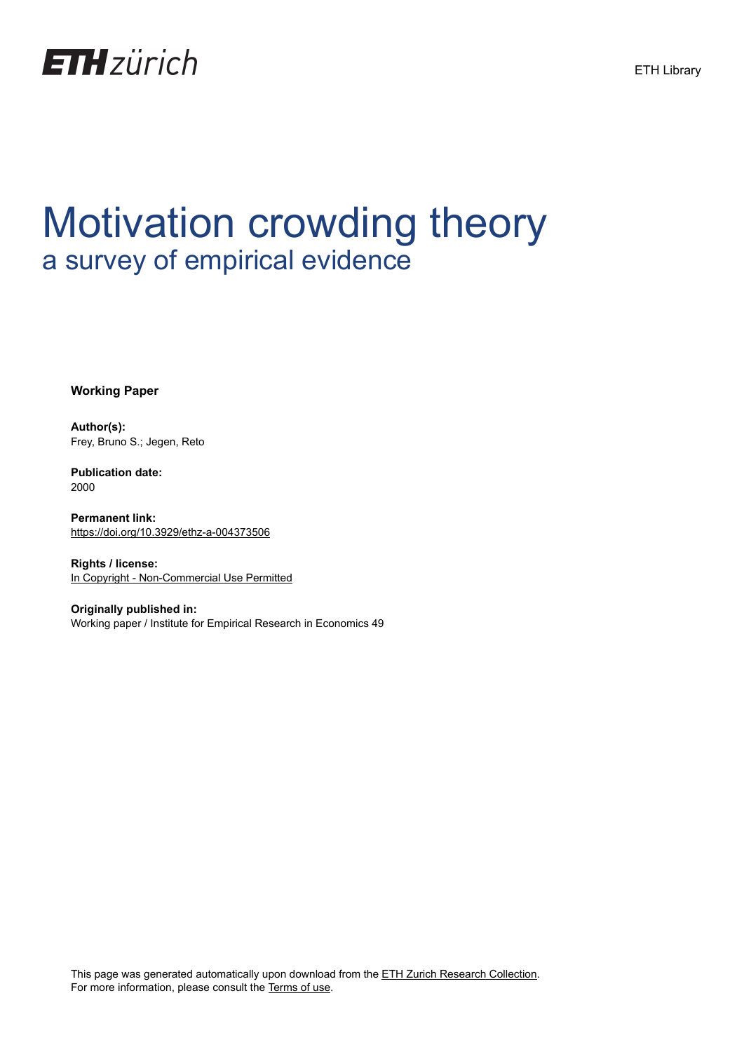

# Motivation crowding theory a survey of empirical evidence

**Working Paper**

**Author(s):** Frey, Bruno S.; Jegen, Reto

**Publication date:** 2000

**Permanent link:** <https://doi.org/10.3929/ethz-a-004373506>

**Rights / license:** [In Copyright - Non-Commercial Use Permitted](http://rightsstatements.org/page/InC-NC/1.0/)

**Originally published in:** Working paper / Institute for Empirical Research in Economics 49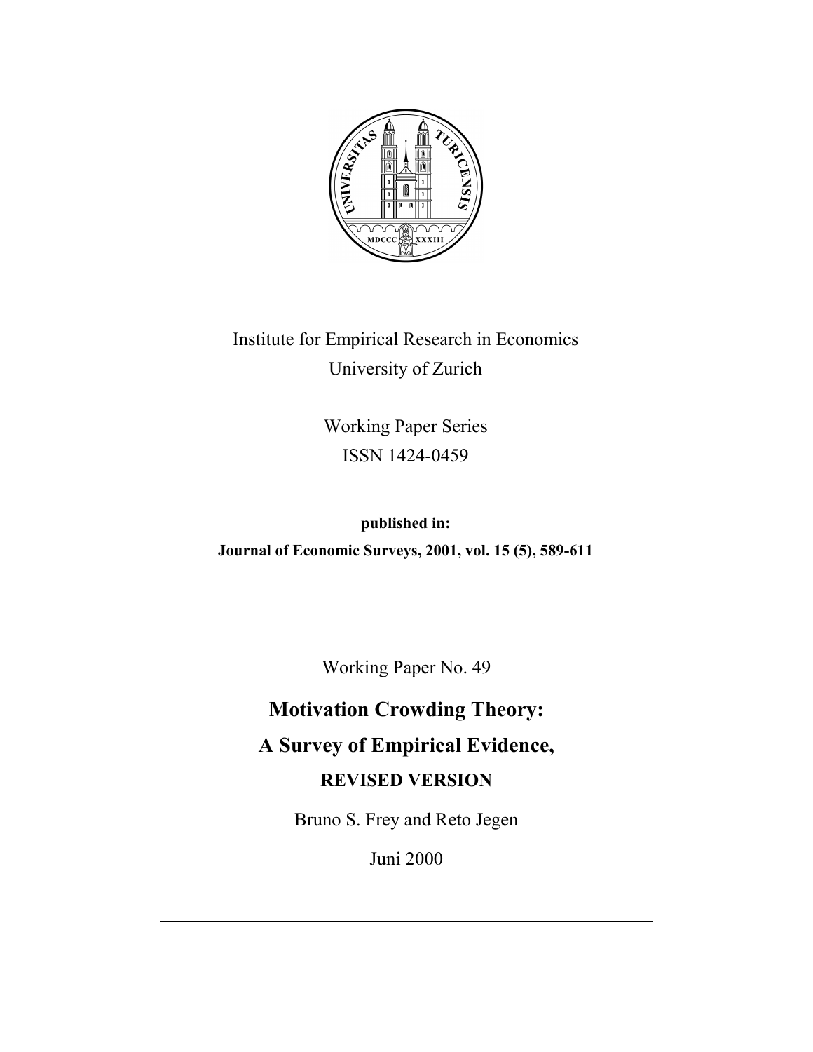

Institute for Empirical Research in Economics University of Zurich

> Working Paper Series ISSN 1424-0459

**published in: Journal of Economic Surveys, 2001, vol. 15 (5), 589-611**

Working Paper No. 49

# **Motivation Crowding Theory:**

## **A Survey of Empirical Evidence,**

## **REVISED VERSION**

Bruno S. Frey and Reto Jegen

Juni 2000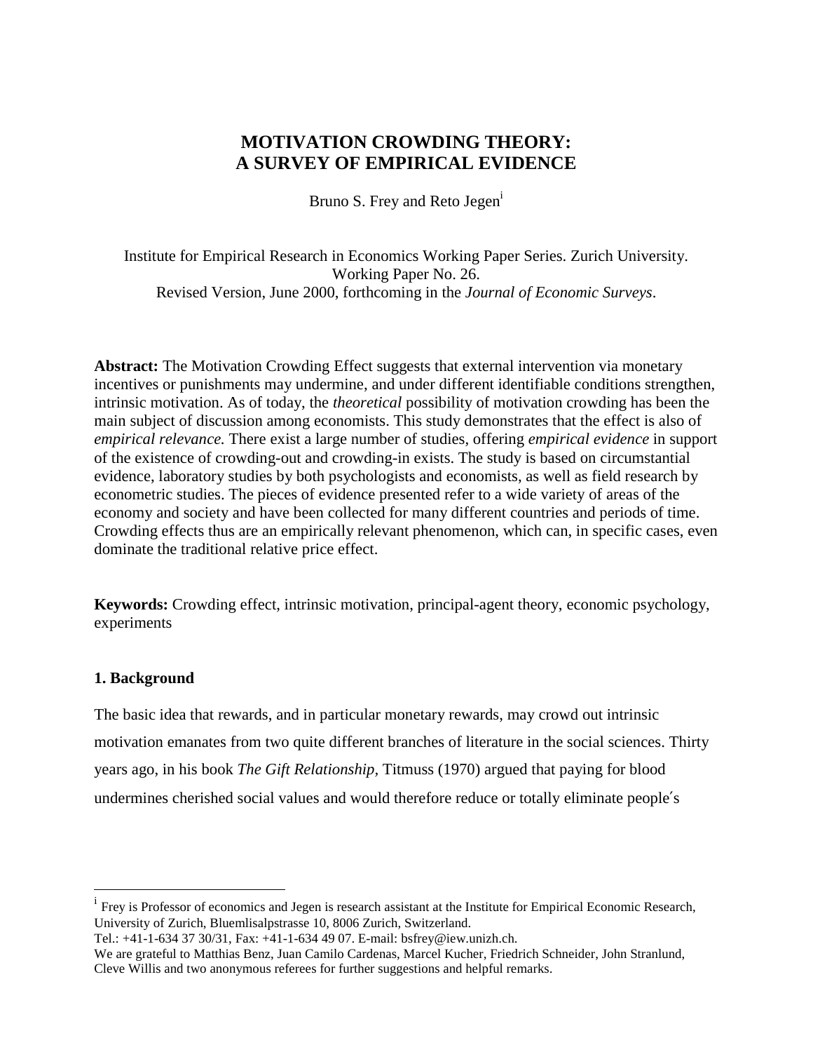## **MOTIVATION CROWDING THEORY: A SURVEY OF EMPIRICAL EVIDENCE**

Bruno S. Frey and Reto Jegen<sup>1</sup>

Institute for Empirical Research in Economics Working Paper Series. Zurich University. Working Paper No. 26. Revised Version, June 2000, forthcoming in the *Journal of Economic Surveys*.

**Abstract:** The Motivation Crowding Effect suggests that external intervention via monetary incentives or punishments may undermine, and under different identifiable conditions strengthen, intrinsic motivation. As of today, the *theoretical* possibility of motivation crowding has been the main subject of discussion among economists. This study demonstrates that the effect is also of *empirical relevance.* There exist a large number of studies, offering *empirical evidence* in support of the existence of crowding-out and crowding-in exists. The study is based on circumstantial evidence, laboratory studies by both psychologists and economists, as well as field research by econometric studies. The pieces of evidence presented refer to a wide variety of areas of the economy and society and have been collected for many different countries and periods of time. Crowding effects thus are an empirically relevant phenomenon, which can, in specific cases, even dominate the traditional relative price effect.

**Keywords:** Crowding effect, intrinsic motivation, principal-agent theory, economic psychology, experiments

## **1. Background**

 $\overline{a}$ 

The basic idea that rewards, and in particular monetary rewards, may crowd out intrinsic motivation emanates from two quite different branches of literature in the social sciences. Thirty years ago, in his book *The Gift Relationship,* Titmuss (1970) argued that paying for blood undermines cherished social values and would therefore reduce or totally eliminate people′s

<sup>&</sup>lt;sup>i</sup> Frey is Professor of economics and Jegen is research assistant at the Institute for Empirical Economic Research, University of Zurich, Bluemlisalpstrasse 10, 8006 Zurich, Switzerland.

Tel.: +41-1-634 37 30/31, Fax: +41-1-634 49 07. E-mail: bsfrey@iew.unizh.ch.

We are grateful to Matthias Benz, Juan Camilo Cardenas, Marcel Kucher, Friedrich Schneider, John Stranlund, Cleve Willis and two anonymous referees for further suggestions and helpful remarks.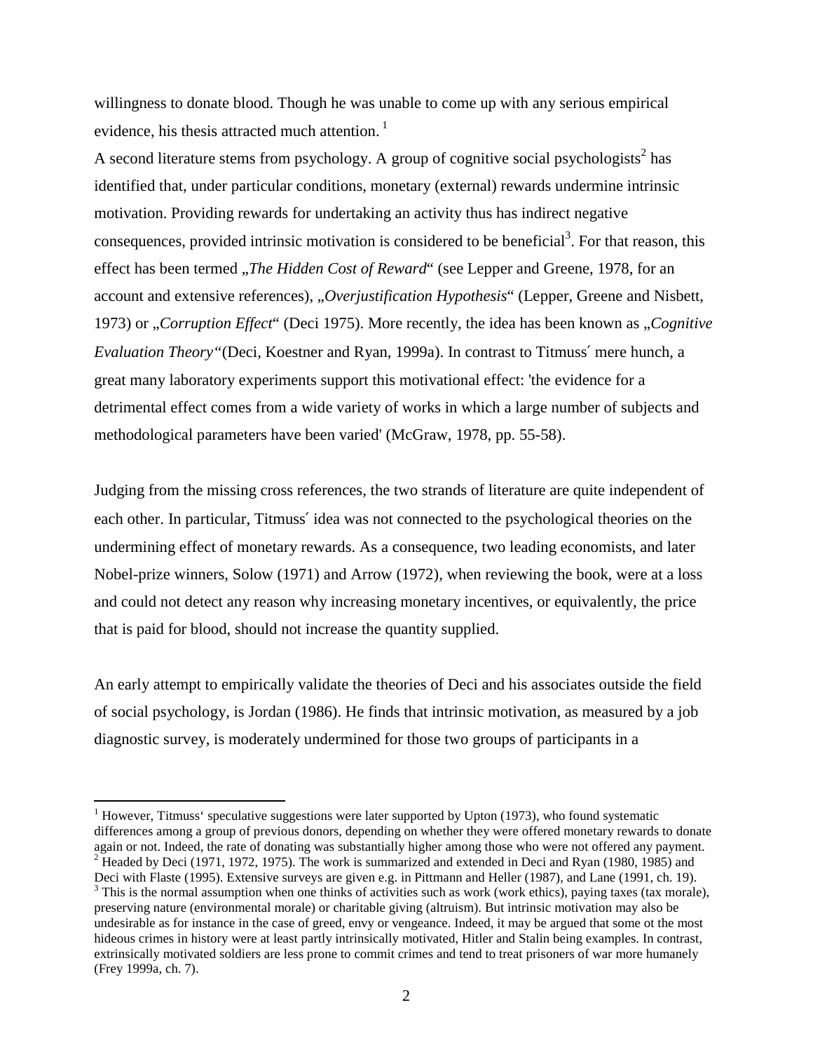willingness to donate blood. Though he was unable to come up with any serious empirical evidence, his thesis attracted much attention. $<sup>1</sup>$ </sup>

A second literature stems from psychology. A group of cognitive social psychologists<sup>2</sup> has identified that, under particular conditions, monetary (external) rewards undermine intrinsic motivation. Providing rewards for undertaking an activity thus has indirect negative consequences, provided intrinsic motivation is considered to be beneficial<sup>3</sup>. For that reason, this effect has been termed "*The Hidden Cost of Reward*" (see Lepper and Greene, 1978, for an account and extensive references), "*Overjustification Hypothesis*" (Lepper, Greene and Nisbett, 1973) or "*Corruption Effect*" (Deci 1975). More recently, the idea has been known as "*Cognitive Evaluation Theory"*(Deci, Koestner and Ryan, 1999a). In contrast to Titmuss′ mere hunch, a great many laboratory experiments support this motivational effect: 'the evidence for a detrimental effect comes from a wide variety of works in which a large number of subjects and methodological parameters have been varied' (McGraw, 1978, pp. 55-58).

Judging from the missing cross references, the two strands of literature are quite independent of each other. In particular, Titmuss′ idea was not connected to the psychological theories on the undermining effect of monetary rewards. As a consequence, two leading economists, and later Nobel-prize winners, Solow (1971) and Arrow (1972), when reviewing the book, were at a loss and could not detect any reason why increasing monetary incentives, or equivalently, the price that is paid for blood, should not increase the quantity supplied.

An early attempt to empirically validate the theories of Deci and his associates outside the field of social psychology, is Jordan (1986). He finds that intrinsic motivation, as measured by a job diagnostic survey, is moderately undermined for those two groups of participants in a

 $\overline{a}$ 

<sup>&</sup>lt;sup>1</sup> However, Titmuss' speculative suggestions were later supported by Upton (1973), who found systematic differences among a group of previous donors, depending on whether they were offered monetary rewards to donate again or not. Indeed, the rate of donating was substantially higher among those who were not offered any payment. <sup>2</sup> Headed by Deci (1971, 1972, 1975). The work is summarized and extended in Deci and Ryan (1980, 1985) and

Deci with Flaste (1995). Extensive surveys are given e.g. in Pittmann and Heller (1987), and Lane (1991, ch. 19).  $3$  This is the normal assumption when one thinks of activities such as work (work ethics), paying taxes (tax morale), preserving nature (environmental morale) or charitable giving (altruism). But intrinsic motivation may also be undesirable as for instance in the case of greed, envy or vengeance. Indeed, it may be argued that some ot the most hideous crimes in history were at least partly intrinsically motivated, Hitler and Stalin being examples. In contrast, extrinsically motivated soldiers are less prone to commit crimes and tend to treat prisoners of war more humanely (Frey 1999a, ch. 7).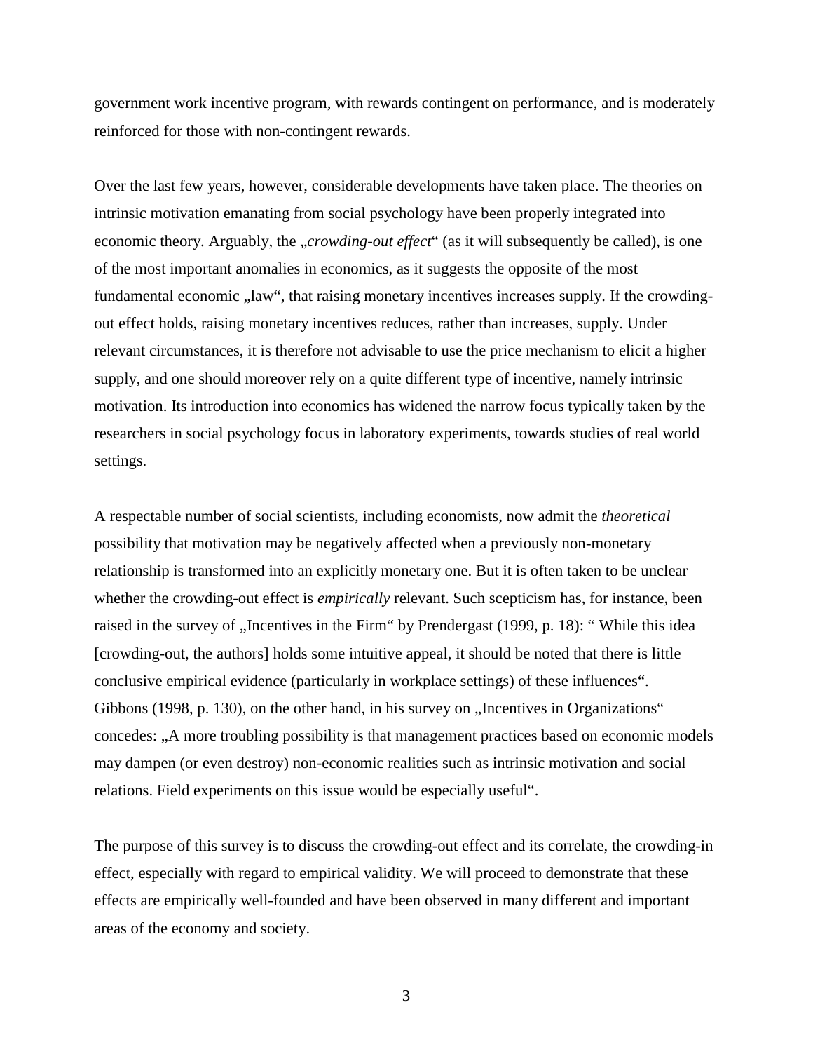government work incentive program, with rewards contingent on performance, and is moderately reinforced for those with non-contingent rewards.

Over the last few years, however, considerable developments have taken place. The theories on intrinsic motivation emanating from social psychology have been properly integrated into economic theory. Arguably, the *"crowding-out effect*" (as it will subsequently be called), is one of the most important anomalies in economics, as it suggests the opposite of the most fundamental economic "law", that raising monetary incentives increases supply. If the crowdingout effect holds, raising monetary incentives reduces, rather than increases, supply. Under relevant circumstances, it is therefore not advisable to use the price mechanism to elicit a higher supply, and one should moreover rely on a quite different type of incentive, namely intrinsic motivation. Its introduction into economics has widened the narrow focus typically taken by the researchers in social psychology focus in laboratory experiments, towards studies of real world settings.

A respectable number of social scientists, including economists, now admit the *theoretical* possibility that motivation may be negatively affected when a previously non-monetary relationship is transformed into an explicitly monetary one. But it is often taken to be unclear whether the crowding-out effect is *empirically* relevant. Such scepticism has, for instance, been raised in the survey of "Incentives in the Firm" by Prendergast (1999, p. 18): "While this idea [crowding-out, the authors] holds some intuitive appeal, it should be noted that there is little conclusive empirical evidence (particularly in workplace settings) of these influences". Gibbons (1998, p. 130), on the other hand, in his survey on "Incentives in Organizations" concedes: "A more troubling possibility is that management practices based on economic models may dampen (or even destroy) non-economic realities such as intrinsic motivation and social relations. Field experiments on this issue would be especially useful".

The purpose of this survey is to discuss the crowding-out effect and its correlate, the crowding-in effect, especially with regard to empirical validity. We will proceed to demonstrate that these effects are empirically well-founded and have been observed in many different and important areas of the economy and society.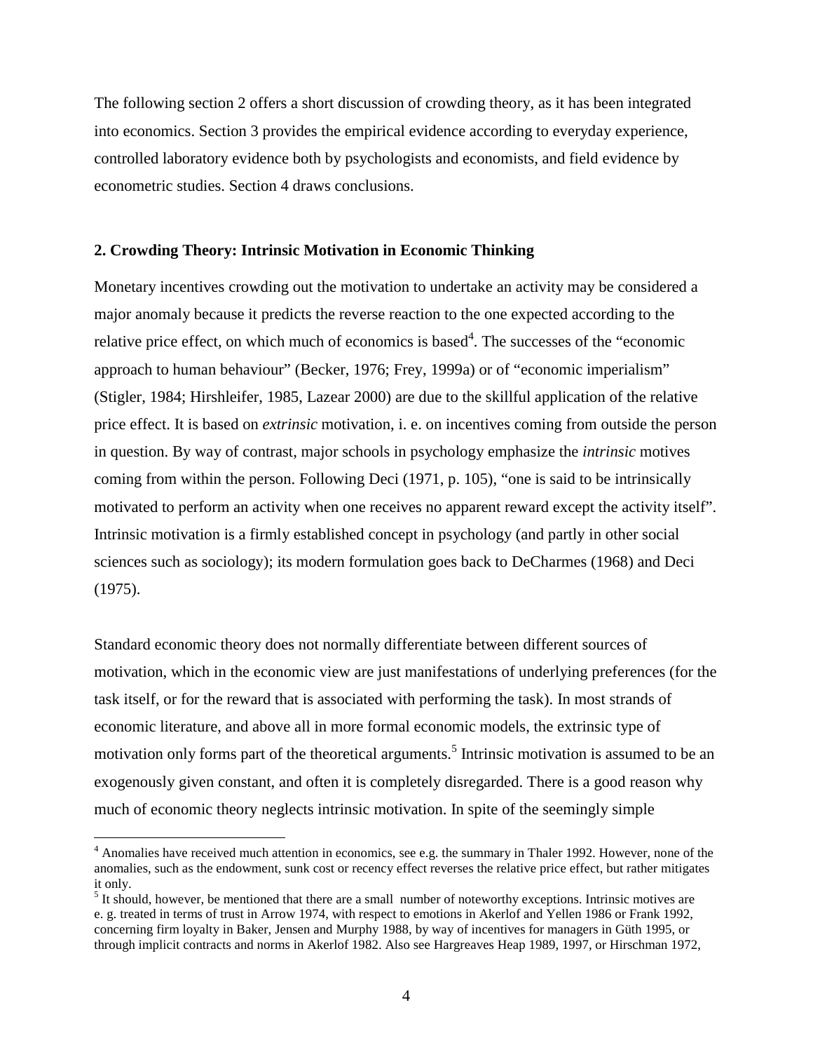The following section 2 offers a short discussion of crowding theory, as it has been integrated into economics. Section 3 provides the empirical evidence according to everyday experience, controlled laboratory evidence both by psychologists and economists, and field evidence by econometric studies. Section 4 draws conclusions.

## **2. Crowding Theory: Intrinsic Motivation in Economic Thinking**

Monetary incentives crowding out the motivation to undertake an activity may be considered a major anomaly because it predicts the reverse reaction to the one expected according to the relative price effect, on which much of economics is based<sup>4</sup>. The successes of the "economic approach to human behaviour" (Becker, 1976; Frey, 1999a) or of "economic imperialism" (Stigler, 1984; Hirshleifer, 1985, Lazear 2000) are due to the skillful application of the relative price effect. It is based on *extrinsic* motivation, i. e. on incentives coming from outside the person in question. By way of contrast, major schools in psychology emphasize the *intrinsic* motives coming from within the person. Following Deci (1971, p. 105), "one is said to be intrinsically motivated to perform an activity when one receives no apparent reward except the activity itself". Intrinsic motivation is a firmly established concept in psychology (and partly in other social sciences such as sociology); its modern formulation goes back to DeCharmes (1968) and Deci (1975).

Standard economic theory does not normally differentiate between different sources of motivation, which in the economic view are just manifestations of underlying preferences (for the task itself, or for the reward that is associated with performing the task). In most strands of economic literature, and above all in more formal economic models, the extrinsic type of motivation only forms part of the theoretical arguments.<sup>5</sup> Intrinsic motivation is assumed to be an exogenously given constant, and often it is completely disregarded. There is a good reason why much of economic theory neglects intrinsic motivation. In spite of the seemingly simple

 $\overline{a}$ 

<sup>&</sup>lt;sup>4</sup> Anomalies have received much attention in economics, see e.g. the summary in Thaler 1992. However, none of the anomalies, such as the endowment, sunk cost or recency effect reverses the relative price effect, but rather mitigates it only.

 $<sup>5</sup>$  It should, however, be mentioned that there are a small number of noteworthy exceptions. Intrinsic motives are</sup> e. g. treated in terms of trust in Arrow 1974, with respect to emotions in Akerlof and Yellen 1986 or Frank 1992, concerning firm loyalty in Baker, Jensen and Murphy 1988, by way of incentives for managers in Güth 1995, or through implicit contracts and norms in Akerlof 1982. Also see Hargreaves Heap 1989, 1997, or Hirschman 1972,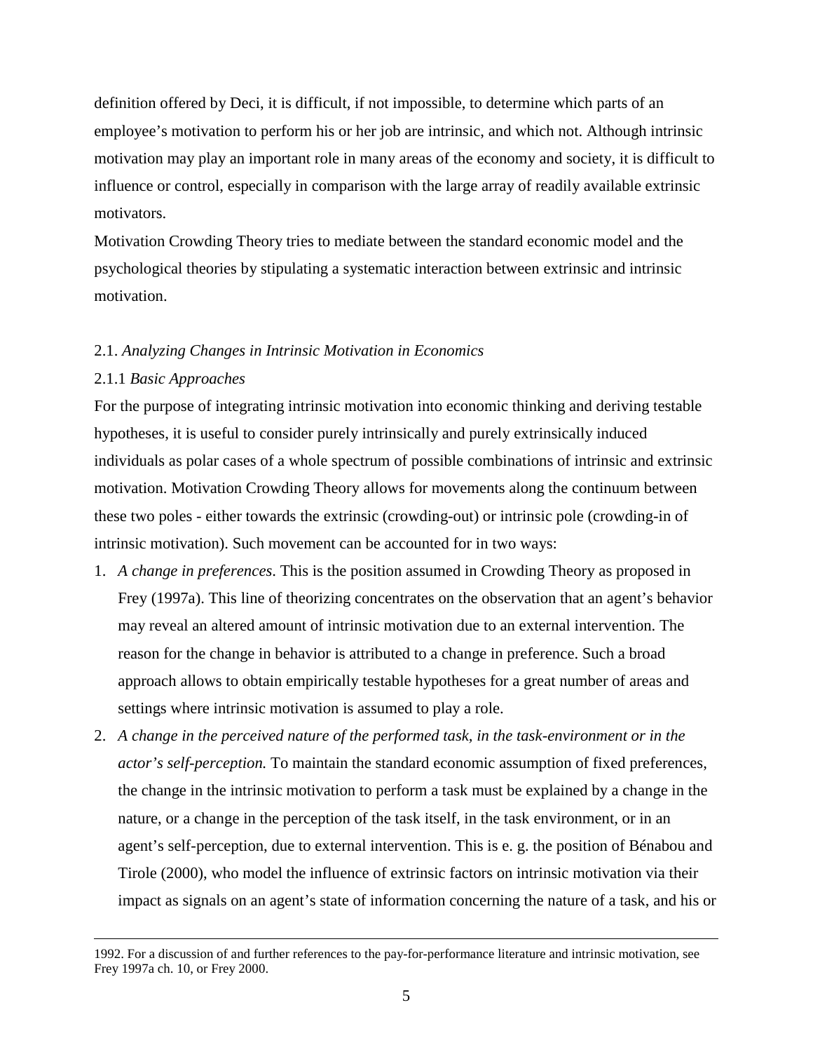definition offered by Deci, it is difficult, if not impossible, to determine which parts of an employee's motivation to perform his or her job are intrinsic, and which not. Although intrinsic motivation may play an important role in many areas of the economy and society, it is difficult to influence or control, especially in comparison with the large array of readily available extrinsic motivators.

Motivation Crowding Theory tries to mediate between the standard economic model and the psychological theories by stipulating a systematic interaction between extrinsic and intrinsic motivation.

## 2.1. *Analyzing Changes in Intrinsic Motivation in Economics*

## 2.1.1 *Basic Approaches*

 $\overline{a}$ 

For the purpose of integrating intrinsic motivation into economic thinking and deriving testable hypotheses, it is useful to consider purely intrinsically and purely extrinsically induced individuals as polar cases of a whole spectrum of possible combinations of intrinsic and extrinsic motivation. Motivation Crowding Theory allows for movements along the continuum between these two poles - either towards the extrinsic (crowding-out) or intrinsic pole (crowding-in of intrinsic motivation). Such movement can be accounted for in two ways:

- 1. *A change in preferences*. This is the position assumed in Crowding Theory as proposed in Frey (1997a). This line of theorizing concentrates on the observation that an agent's behavior may reveal an altered amount of intrinsic motivation due to an external intervention. The reason for the change in behavior is attributed to a change in preference. Such a broad approach allows to obtain empirically testable hypotheses for a great number of areas and settings where intrinsic motivation is assumed to play a role.
- 2. *A change in the perceived nature of the performed task, in the task-environment or in the actor's self-perception.* To maintain the standard economic assumption of fixed preferences, the change in the intrinsic motivation to perform a task must be explained by a change in the nature, or a change in the perception of the task itself, in the task environment, or in an agent's self-perception, due to external intervention. This is e. g. the position of Bénabou and Tirole (2000), who model the influence of extrinsic factors on intrinsic motivation via their impact as signals on an agent's state of information concerning the nature of a task, and his or

<sup>1992.</sup> For a discussion of and further references to the pay-for-performance literature and intrinsic motivation, see Frey 1997a ch. 10, or Frey 2000.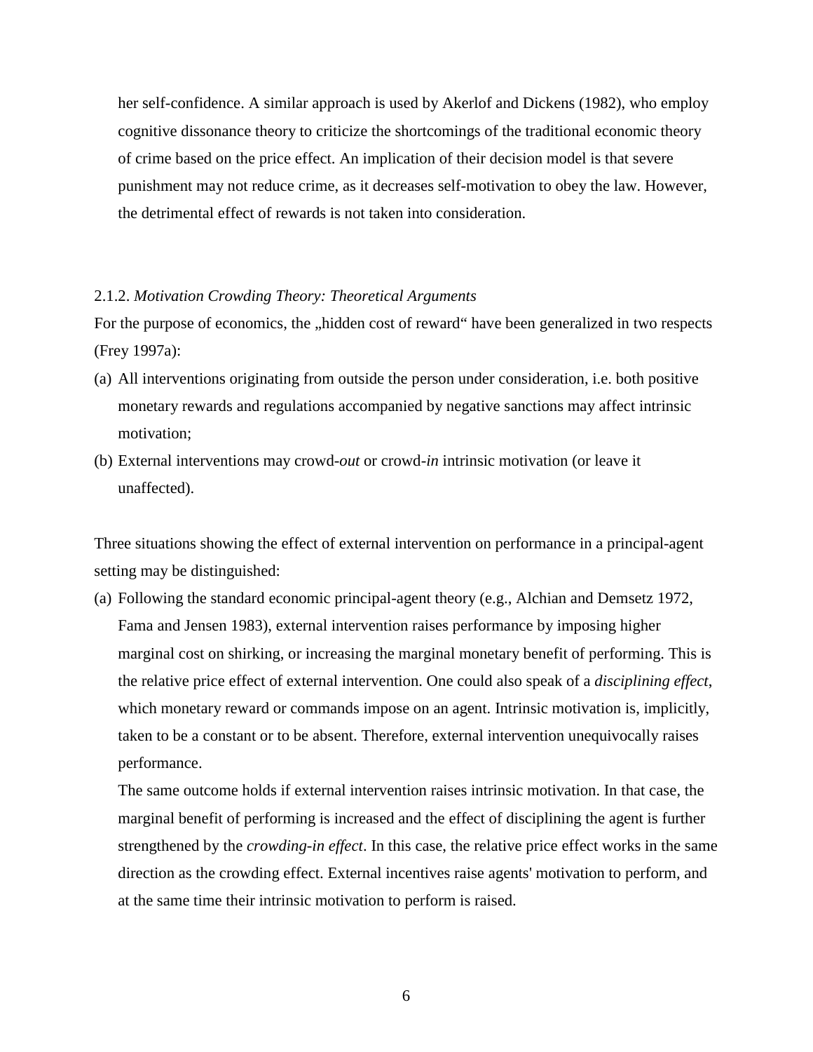her self-confidence. A similar approach is used by Akerlof and Dickens (1982), who employ cognitive dissonance theory to criticize the shortcomings of the traditional economic theory of crime based on the price effect. An implication of their decision model is that severe punishment may not reduce crime, as it decreases self-motivation to obey the law. However, the detrimental effect of rewards is not taken into consideration.

## 2.1.2. *Motivation Crowding Theory: Theoretical Arguments*

For the purpose of economics, the "hidden cost of reward" have been generalized in two respects (Frey 1997a):

- (a) All interventions originating from outside the person under consideration, i.e. both positive monetary rewards and regulations accompanied by negative sanctions may affect intrinsic motivation;
- (b) External interventions may crowd-*out* or crowd-*in* intrinsic motivation (or leave it unaffected).

Three situations showing the effect of external intervention on performance in a principal-agent setting may be distinguished:

(a) Following the standard economic principal-agent theory (e.g., Alchian and Demsetz 1972, Fama and Jensen 1983), external intervention raises performance by imposing higher marginal cost on shirking, or increasing the marginal monetary benefit of performing. This is the relative price effect of external intervention. One could also speak of a *disciplining effect*, which monetary reward or commands impose on an agent. Intrinsic motivation is, implicitly, taken to be a constant or to be absent. Therefore, external intervention unequivocally raises performance.

The same outcome holds if external intervention raises intrinsic motivation. In that case, the marginal benefit of performing is increased and the effect of disciplining the agent is further strengthened by the *crowding-in effect*. In this case, the relative price effect works in the same direction as the crowding effect. External incentives raise agents' motivation to perform, and at the same time their intrinsic motivation to perform is raised.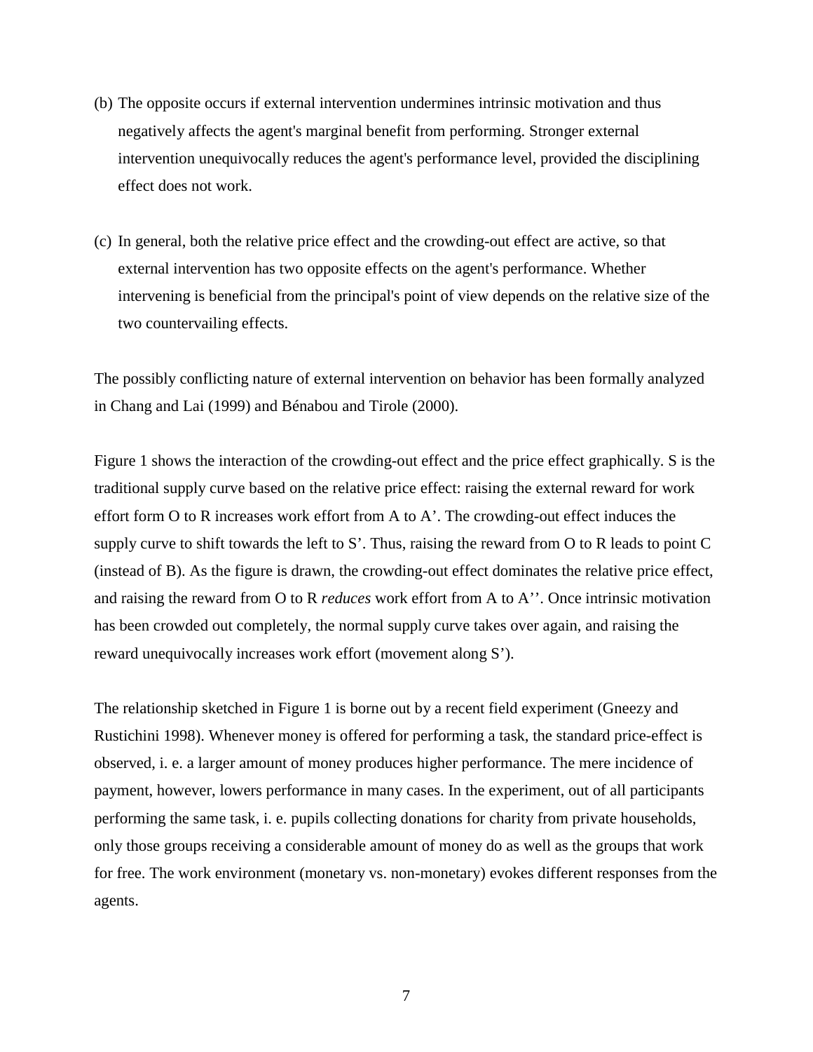- (b) The opposite occurs if external intervention undermines intrinsic motivation and thus negatively affects the agent's marginal benefit from performing. Stronger external intervention unequivocally reduces the agent's performance level, provided the disciplining effect does not work.
- (c) In general, both the relative price effect and the crowding-out effect are active, so that external intervention has two opposite effects on the agent's performance. Whether intervening is beneficial from the principal's point of view depends on the relative size of the two countervailing effects.

The possibly conflicting nature of external intervention on behavior has been formally analyzed in Chang and Lai (1999) and Bénabou and Tirole (2000).

Figure 1 shows the interaction of the crowding-out effect and the price effect graphically. S is the traditional supply curve based on the relative price effect: raising the external reward for work effort form O to R increases work effort from A to A'. The crowding-out effect induces the supply curve to shift towards the left to S'. Thus, raising the reward from O to R leads to point C (instead of B). As the figure is drawn, the crowding-out effect dominates the relative price effect, and raising the reward from O to R *reduces* work effort from A to A''. Once intrinsic motivation has been crowded out completely, the normal supply curve takes over again, and raising the reward unequivocally increases work effort (movement along S').

The relationship sketched in Figure 1 is borne out by a recent field experiment (Gneezy and Rustichini 1998). Whenever money is offered for performing a task, the standard price-effect is observed, i. e. a larger amount of money produces higher performance. The mere incidence of payment, however, lowers performance in many cases. In the experiment, out of all participants performing the same task, i. e. pupils collecting donations for charity from private households, only those groups receiving a considerable amount of money do as well as the groups that work for free. The work environment (monetary vs. non-monetary) evokes different responses from the agents.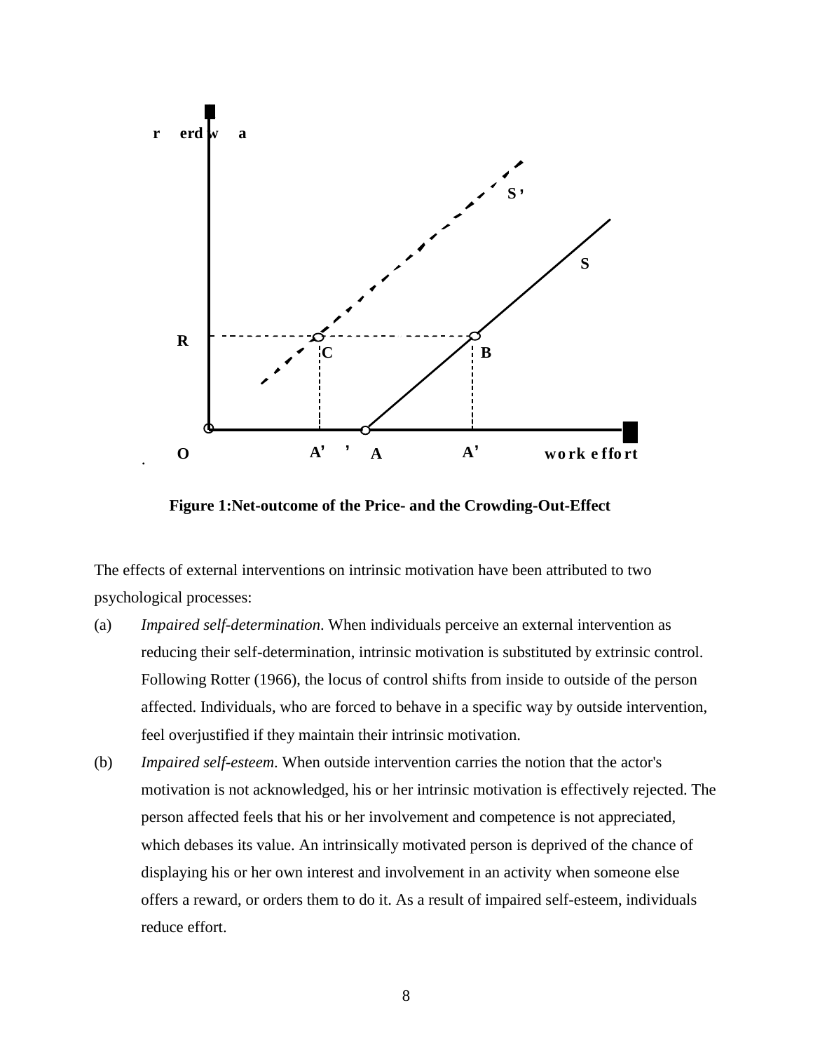

**Figure 1:Net-outcome of the Price- and the Crowding-Out-Effect**

The effects of external interventions on intrinsic motivation have been attributed to two psychological processes:

- (a) *Impaired self-determination*. When individuals perceive an external intervention as reducing their self-determination, intrinsic motivation is substituted by extrinsic control. Following Rotter (1966), the locus of control shifts from inside to outside of the person affected. Individuals, who are forced to behave in a specific way by outside intervention, feel overjustified if they maintain their intrinsic motivation.
- (b) *Impaired self-esteem*. When outside intervention carries the notion that the actor's motivation is not acknowledged, his or her intrinsic motivation is effectively rejected. The person affected feels that his or her involvement and competence is not appreciated, which debases its value. An intrinsically motivated person is deprived of the chance of displaying his or her own interest and involvement in an activity when someone else offers a reward, or orders them to do it. As a result of impaired self-esteem, individuals reduce effort.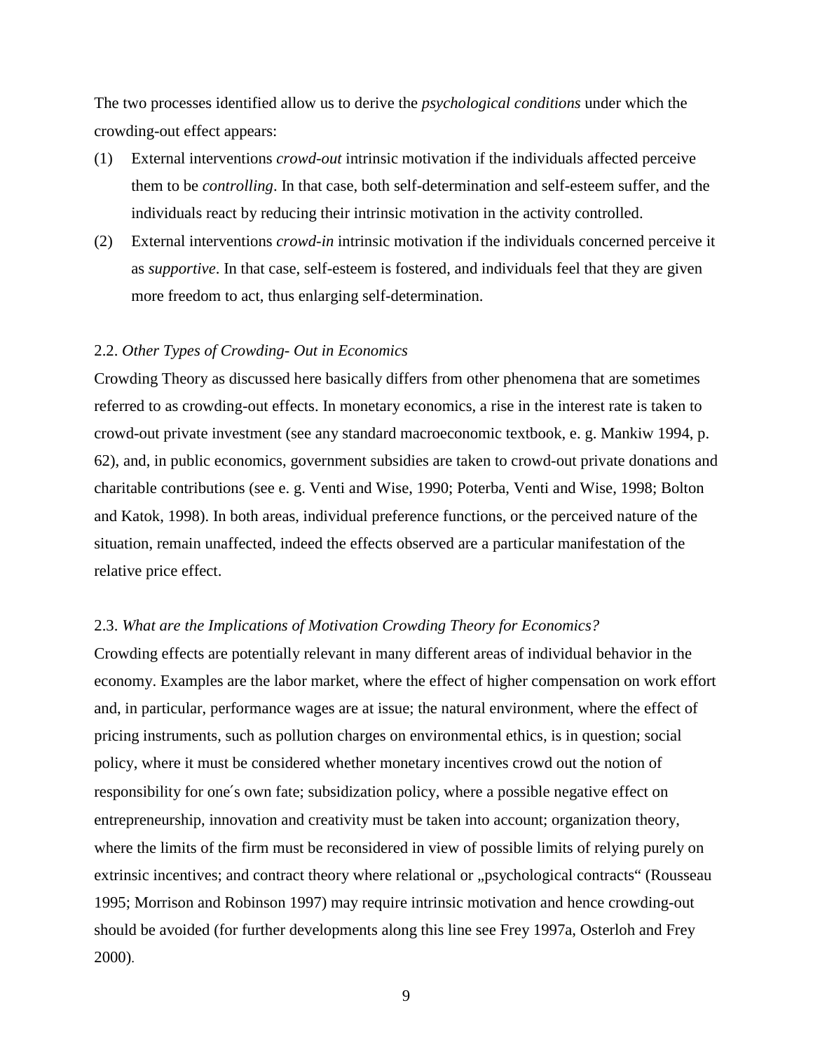The two processes identified allow us to derive the *psychological conditions* under which the crowding-out effect appears:

- (1) External interventions *crowd-out* intrinsic motivation if the individuals affected perceive them to be *controlling*. In that case, both self-determination and self-esteem suffer, and the individuals react by reducing their intrinsic motivation in the activity controlled.
- (2) External interventions *crowd-in* intrinsic motivation if the individuals concerned perceive it as *supportive*. In that case, self-esteem is fostered, and individuals feel that they are given more freedom to act, thus enlarging self-determination.

## 2.2. *Other Types of Crowding- Out in Economics*

Crowding Theory as discussed here basically differs from other phenomena that are sometimes referred to as crowding-out effects. In monetary economics, a rise in the interest rate is taken to crowd-out private investment (see any standard macroeconomic textbook, e. g. Mankiw 1994, p. 62), and, in public economics, government subsidies are taken to crowd-out private donations and charitable contributions (see e. g. Venti and Wise, 1990; Poterba, Venti and Wise, 1998; Bolton and Katok, 1998). In both areas, individual preference functions, or the perceived nature of the situation, remain unaffected, indeed the effects observed are a particular manifestation of the relative price effect.

#### 2.3. *What are the Implications of Motivation Crowding Theory for Economics?*

Crowding effects are potentially relevant in many different areas of individual behavior in the economy. Examples are the labor market, where the effect of higher compensation on work effort and, in particular, performance wages are at issue; the natural environment, where the effect of pricing instruments, such as pollution charges on environmental ethics, is in question; social policy, where it must be considered whether monetary incentives crowd out the notion of responsibility for one′s own fate; subsidization policy, where a possible negative effect on entrepreneurship, innovation and creativity must be taken into account; organization theory, where the limits of the firm must be reconsidered in view of possible limits of relying purely on extrinsic incentives; and contract theory where relational or "psychological contracts" (Rousseau 1995; Morrison and Robinson 1997) may require intrinsic motivation and hence crowding-out should be avoided (for further developments along this line see Frey 1997a, Osterloh and Frey 2000).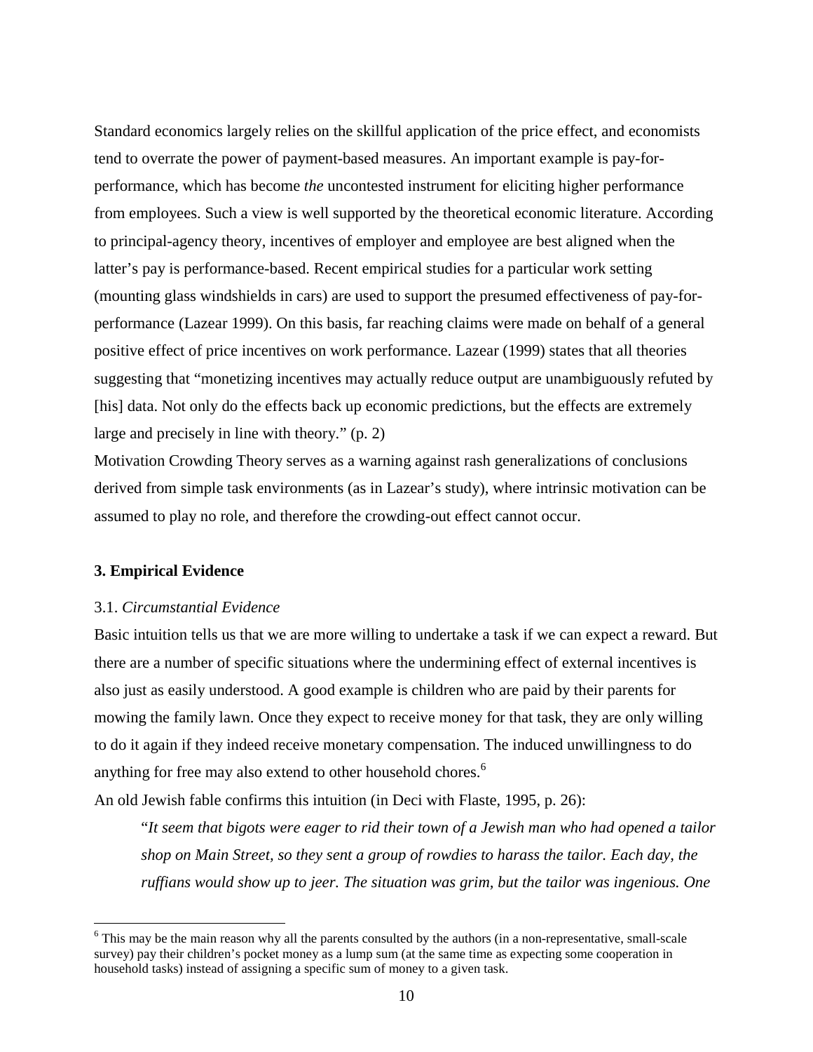Standard economics largely relies on the skillful application of the price effect, and economists tend to overrate the power of payment-based measures. An important example is pay-forperformance, which has become *the* uncontested instrument for eliciting higher performance from employees. Such a view is well supported by the theoretical economic literature. According to principal-agency theory, incentives of employer and employee are best aligned when the latter's pay is performance-based. Recent empirical studies for a particular work setting (mounting glass windshields in cars) are used to support the presumed effectiveness of pay-forperformance (Lazear 1999). On this basis, far reaching claims were made on behalf of a general positive effect of price incentives on work performance. Lazear (1999) states that all theories suggesting that "monetizing incentives may actually reduce output are unambiguously refuted by [his] data. Not only do the effects back up economic predictions, but the effects are extremely large and precisely in line with theory." (p. 2)

Motivation Crowding Theory serves as a warning against rash generalizations of conclusions derived from simple task environments (as in Lazear's study), where intrinsic motivation can be assumed to play no role, and therefore the crowding-out effect cannot occur.

## **3. Empirical Evidence**

 $\overline{a}$ 

#### 3.1. *Circumstantial Evidence*

Basic intuition tells us that we are more willing to undertake a task if we can expect a reward. But there are a number of specific situations where the undermining effect of external incentives is also just as easily understood. A good example is children who are paid by their parents for mowing the family lawn. Once they expect to receive money for that task, they are only willing to do it again if they indeed receive monetary compensation. The induced unwillingness to do anything for free may also extend to other household chores.<sup>6</sup>

An old Jewish fable confirms this intuition (in Deci with Flaste, 1995, p. 26):

"*It seem that bigots were eager to rid their town of a Jewish man who had opened a tailor shop on Main Street, so they sent a group of rowdies to harass the tailor. Each day, the ruffians would show up to jeer. The situation was grim, but the tailor was ingenious. One*

 $6$  This may be the main reason why all the parents consulted by the authors (in a non-representative, small-scale survey) pay their children's pocket money as a lump sum (at the same time as expecting some cooperation in household tasks) instead of assigning a specific sum of money to a given task.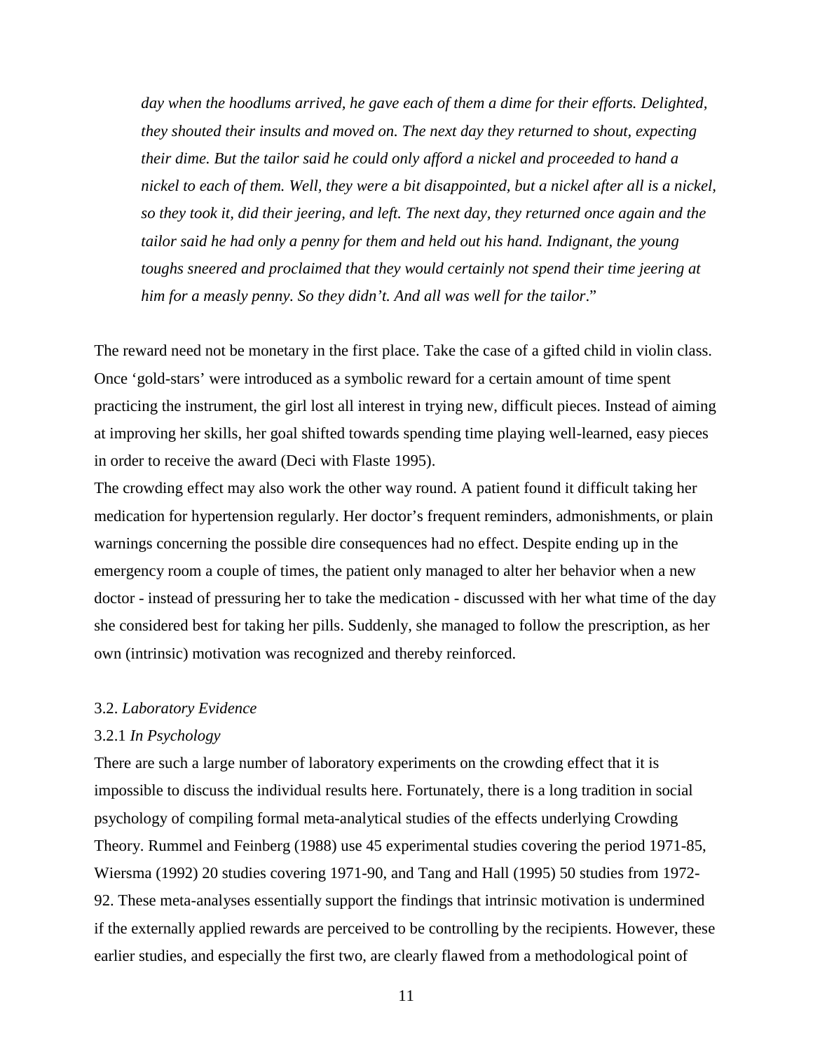*day when the hoodlums arrived, he gave each of them a dime for their efforts. Delighted, they shouted their insults and moved on. The next day they returned to shout, expecting their dime. But the tailor said he could only afford a nickel and proceeded to hand a nickel to each of them. Well, they were a bit disappointed, but a nickel after all is a nickel, so they took it, did their jeering, and left. The next day, they returned once again and the tailor said he had only a penny for them and held out his hand. Indignant, the young toughs sneered and proclaimed that they would certainly not spend their time jeering at him for a measly penny. So they didn't. And all was well for the tailor*."

The reward need not be monetary in the first place. Take the case of a gifted child in violin class. Once 'gold-stars' were introduced as a symbolic reward for a certain amount of time spent practicing the instrument, the girl lost all interest in trying new, difficult pieces. Instead of aiming at improving her skills, her goal shifted towards spending time playing well-learned, easy pieces in order to receive the award (Deci with Flaste 1995).

The crowding effect may also work the other way round. A patient found it difficult taking her medication for hypertension regularly. Her doctor's frequent reminders, admonishments, or plain warnings concerning the possible dire consequences had no effect. Despite ending up in the emergency room a couple of times, the patient only managed to alter her behavior when a new doctor - instead of pressuring her to take the medication - discussed with her what time of the day she considered best for taking her pills. Suddenly, she managed to follow the prescription, as her own (intrinsic) motivation was recognized and thereby reinforced.

## 3.2. *Laboratory Evidence*

#### 3.2.1 *In Psychology*

There are such a large number of laboratory experiments on the crowding effect that it is impossible to discuss the individual results here. Fortunately, there is a long tradition in social psychology of compiling formal meta-analytical studies of the effects underlying Crowding Theory. Rummel and Feinberg (1988) use 45 experimental studies covering the period 1971-85, Wiersma (1992) 20 studies covering 1971-90, and Tang and Hall (1995) 50 studies from 1972- 92. These meta-analyses essentially support the findings that intrinsic motivation is undermined if the externally applied rewards are perceived to be controlling by the recipients. However, these earlier studies, and especially the first two, are clearly flawed from a methodological point of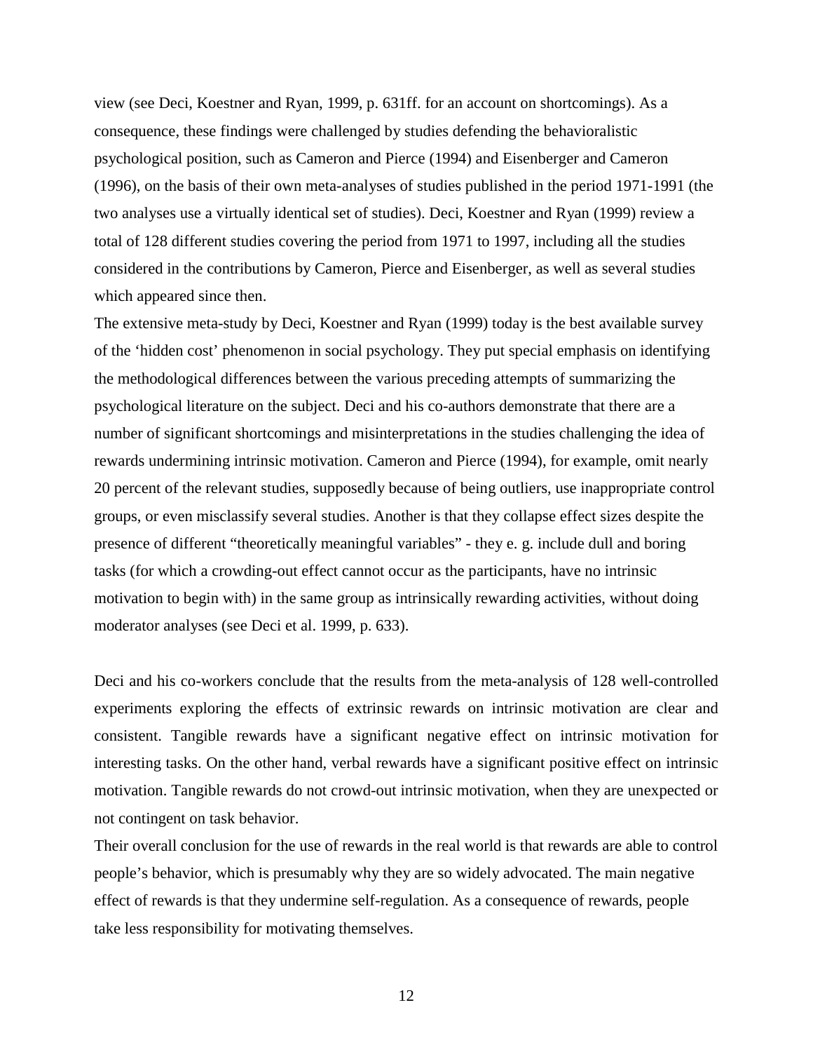view (see Deci, Koestner and Ryan, 1999, p. 631ff. for an account on shortcomings). As a consequence, these findings were challenged by studies defending the behavioralistic psychological position, such as Cameron and Pierce (1994) and Eisenberger and Cameron (1996), on the basis of their own meta-analyses of studies published in the period 1971-1991 (the two analyses use a virtually identical set of studies). Deci, Koestner and Ryan (1999) review a total of 128 different studies covering the period from 1971 to 1997, including all the studies considered in the contributions by Cameron, Pierce and Eisenberger, as well as several studies which appeared since then.

The extensive meta-study by Deci, Koestner and Ryan (1999) today is the best available survey of the 'hidden cost' phenomenon in social psychology. They put special emphasis on identifying the methodological differences between the various preceding attempts of summarizing the psychological literature on the subject. Deci and his co-authors demonstrate that there are a number of significant shortcomings and misinterpretations in the studies challenging the idea of rewards undermining intrinsic motivation. Cameron and Pierce (1994), for example, omit nearly 20 percent of the relevant studies, supposedly because of being outliers, use inappropriate control groups, or even misclassify several studies. Another is that they collapse effect sizes despite the presence of different "theoretically meaningful variables" - they e. g. include dull and boring tasks (for which a crowding-out effect cannot occur as the participants, have no intrinsic motivation to begin with) in the same group as intrinsically rewarding activities, without doing moderator analyses (see Deci et al. 1999, p. 633).

Deci and his co-workers conclude that the results from the meta-analysis of 128 well-controlled experiments exploring the effects of extrinsic rewards on intrinsic motivation are clear and consistent. Tangible rewards have a significant negative effect on intrinsic motivation for interesting tasks. On the other hand, verbal rewards have a significant positive effect on intrinsic motivation. Tangible rewards do not crowd-out intrinsic motivation, when they are unexpected or not contingent on task behavior.

Their overall conclusion for the use of rewards in the real world is that rewards are able to control people's behavior, which is presumably why they are so widely advocated. The main negative effect of rewards is that they undermine self-regulation. As a consequence of rewards, people take less responsibility for motivating themselves.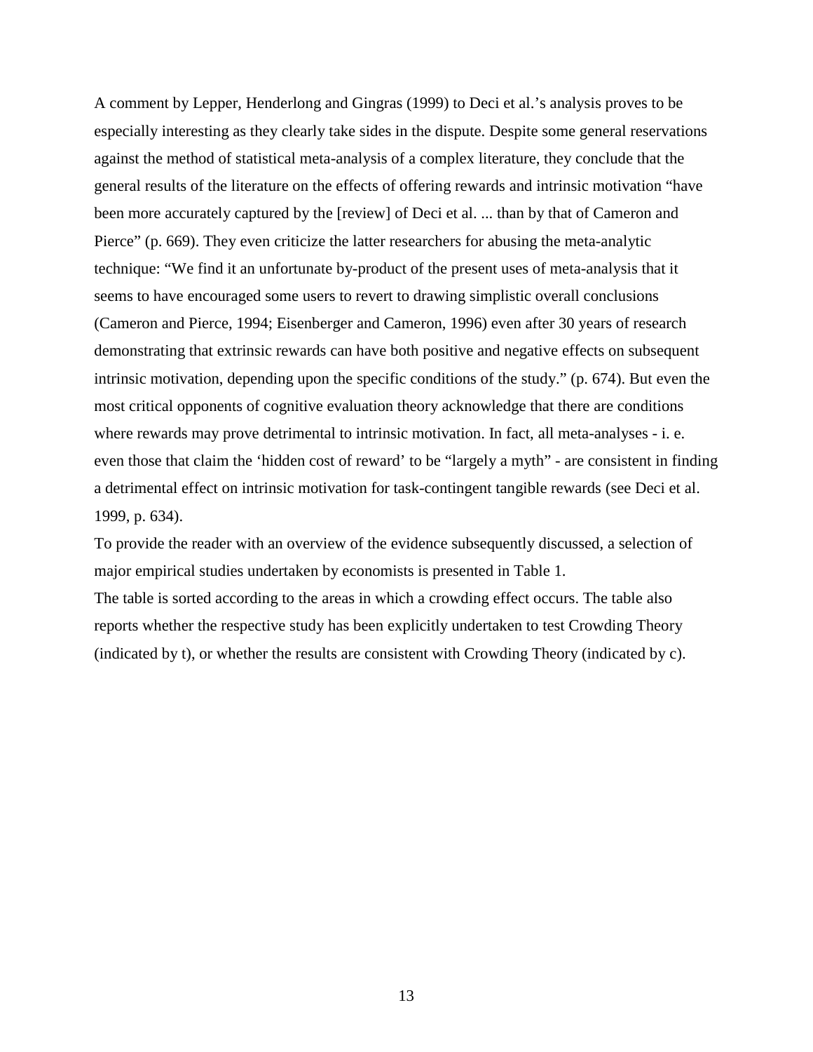A comment by Lepper, Henderlong and Gingras (1999) to Deci et al.'s analysis proves to be especially interesting as they clearly take sides in the dispute. Despite some general reservations against the method of statistical meta-analysis of a complex literature, they conclude that the general results of the literature on the effects of offering rewards and intrinsic motivation "have been more accurately captured by the [review] of Deci et al. ... than by that of Cameron and Pierce" (p. 669). They even criticize the latter researchers for abusing the meta-analytic technique: "We find it an unfortunate by-product of the present uses of meta-analysis that it seems to have encouraged some users to revert to drawing simplistic overall conclusions (Cameron and Pierce, 1994; Eisenberger and Cameron, 1996) even after 30 years of research demonstrating that extrinsic rewards can have both positive and negative effects on subsequent intrinsic motivation, depending upon the specific conditions of the study." (p. 674). But even the most critical opponents of cognitive evaluation theory acknowledge that there are conditions where rewards may prove detrimental to intrinsic motivation. In fact, all meta-analyses - i. e. even those that claim the 'hidden cost of reward' to be "largely a myth" - are consistent in finding a detrimental effect on intrinsic motivation for task-contingent tangible rewards (see Deci et al. 1999, p. 634).

To provide the reader with an overview of the evidence subsequently discussed, a selection of major empirical studies undertaken by economists is presented in Table 1.

The table is sorted according to the areas in which a crowding effect occurs. The table also reports whether the respective study has been explicitly undertaken to test Crowding Theory (indicated by t), or whether the results are consistent with Crowding Theory (indicated by c).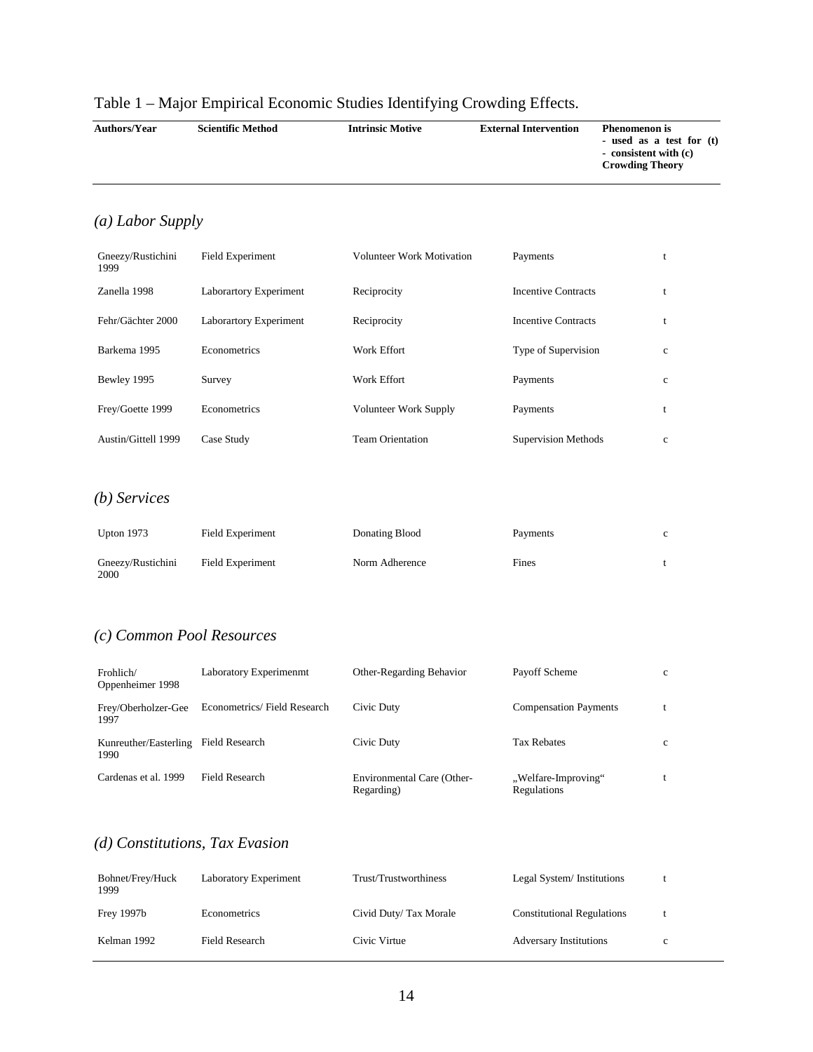| Authors/Year              | <b>Scientific Method</b> | <b>Intrinsic Motive</b>          | <b>External Intervention</b> | <b>Phenomenon</b> is<br>- used as a test for (t)<br>- consistent with (c)<br><b>Crowding Theory</b> |
|---------------------------|--------------------------|----------------------------------|------------------------------|-----------------------------------------------------------------------------------------------------|
| $(a)$ Labor Supply        |                          |                                  |                              |                                                                                                     |
| Gneezy/Rustichini<br>1999 | Field Experiment         | <b>Volunteer Work Motivation</b> | Payments                     |                                                                                                     |
| Zanella 1998              | Laborartory Experiment   | Reciprocity                      | <b>Incentive Contracts</b>   |                                                                                                     |

## Table 1 – Major Empirical Economic Studies Identifying Crowding Effects.

## *(b) Services*

| Upton $1973$              | Field Experiment | Donating Blood | Payments |  |
|---------------------------|------------------|----------------|----------|--|
| Gneezy/Rustichini<br>2000 | Field Experiment | Norm Adherence | Fines    |  |

Fehr/Gächter 2000 Laborartory Experiment Reciprocity **Incentive Contracts** t

Barkema 1995 Econometrics Work Effort Type of Supervision c

Bewley 1995 Survey Survey Work Effort Payments C

Frey/Goette 1999 Econometrics Volunteer Work Supply Payments t

Austin/Gittell 1999 Case Study Team Orientation Supervision Methods c

## *(c) Common Pool Resources*

| Frohlich/<br>Oppenheimer 1998                | Laboratory Experimenmt                          | <b>Other-Regarding Behavior</b>          | Payoff Scheme                      | $\mathbf{c}$ |
|----------------------------------------------|-------------------------------------------------|------------------------------------------|------------------------------------|--------------|
| 1997                                         | Frey/Oberholzer-Gee Econometrics/Field Research | Civic Duty                               | <b>Compensation Payments</b>       | t.           |
| Kunreuther/Easterling Field Research<br>1990 |                                                 | Civic Duty                               | <b>Tax Rebates</b>                 | $\mathbf{c}$ |
| Cardenas et al. 1999                         | Field Research                                  | Environmental Care (Other-<br>Regarding) | "Welfare-Improving"<br>Regulations | t.           |

## *(d) Constitutions, Tax Evasion*

| Bohnet/Frey/Huck<br>1999 | Laboratory Experiment | Trust/Trustworthiness  | Legal System/Institutions         |  |
|--------------------------|-----------------------|------------------------|-----------------------------------|--|
| <b>Frey 1997b</b>        | Econometrics          | Civid Duty/ Tax Morale | <b>Constitutional Regulations</b> |  |
| Kelman 1992              | <b>Field Research</b> | Civic Virtue           | <b>Adversary Institutions</b>     |  |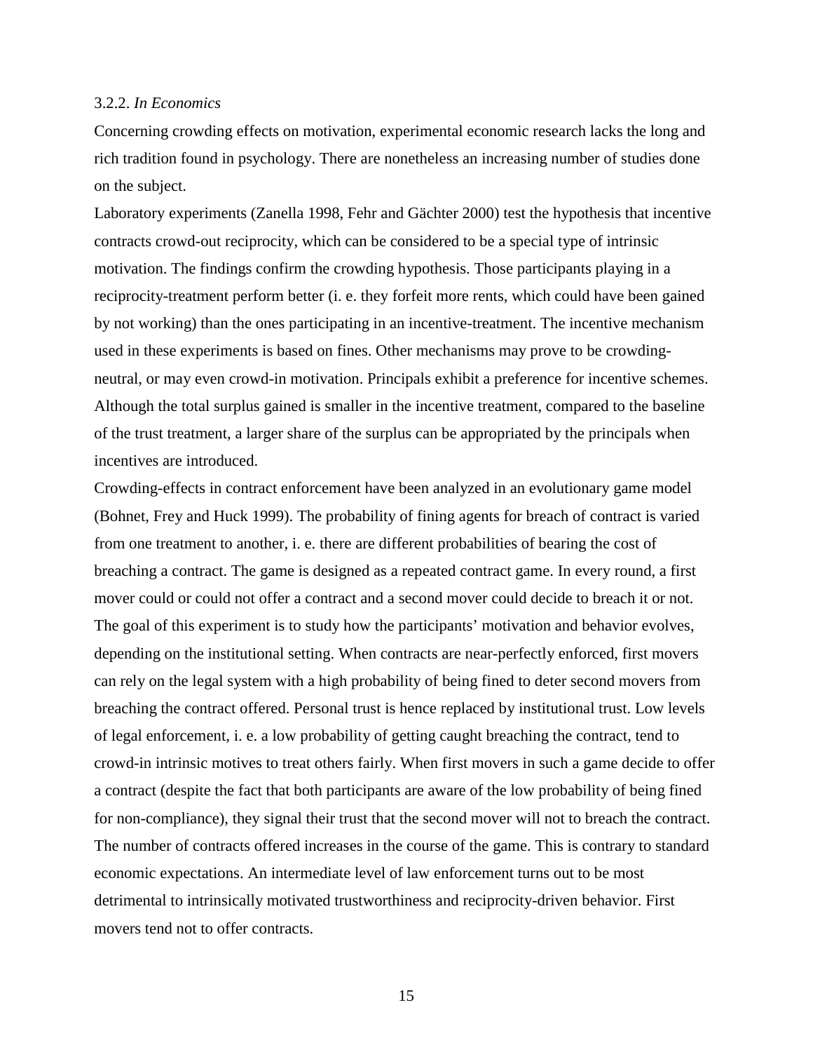## 3.2.2. *In Economics*

Concerning crowding effects on motivation, experimental economic research lacks the long and rich tradition found in psychology. There are nonetheless an increasing number of studies done on the subject.

Laboratory experiments (Zanella 1998, Fehr and Gächter 2000) test the hypothesis that incentive contracts crowd-out reciprocity, which can be considered to be a special type of intrinsic motivation. The findings confirm the crowding hypothesis. Those participants playing in a reciprocity-treatment perform better (i. e. they forfeit more rents, which could have been gained by not working) than the ones participating in an incentive-treatment. The incentive mechanism used in these experiments is based on fines. Other mechanisms may prove to be crowdingneutral, or may even crowd-in motivation. Principals exhibit a preference for incentive schemes. Although the total surplus gained is smaller in the incentive treatment, compared to the baseline of the trust treatment, a larger share of the surplus can be appropriated by the principals when incentives are introduced.

Crowding-effects in contract enforcement have been analyzed in an evolutionary game model (Bohnet, Frey and Huck 1999). The probability of fining agents for breach of contract is varied from one treatment to another, i. e. there are different probabilities of bearing the cost of breaching a contract. The game is designed as a repeated contract game. In every round, a first mover could or could not offer a contract and a second mover could decide to breach it or not. The goal of this experiment is to study how the participants' motivation and behavior evolves, depending on the institutional setting. When contracts are near-perfectly enforced, first movers can rely on the legal system with a high probability of being fined to deter second movers from breaching the contract offered. Personal trust is hence replaced by institutional trust. Low levels of legal enforcement, i. e. a low probability of getting caught breaching the contract, tend to crowd-in intrinsic motives to treat others fairly. When first movers in such a game decide to offer a contract (despite the fact that both participants are aware of the low probability of being fined for non-compliance), they signal their trust that the second mover will not to breach the contract. The number of contracts offered increases in the course of the game. This is contrary to standard economic expectations. An intermediate level of law enforcement turns out to be most detrimental to intrinsically motivated trustworthiness and reciprocity-driven behavior. First movers tend not to offer contracts.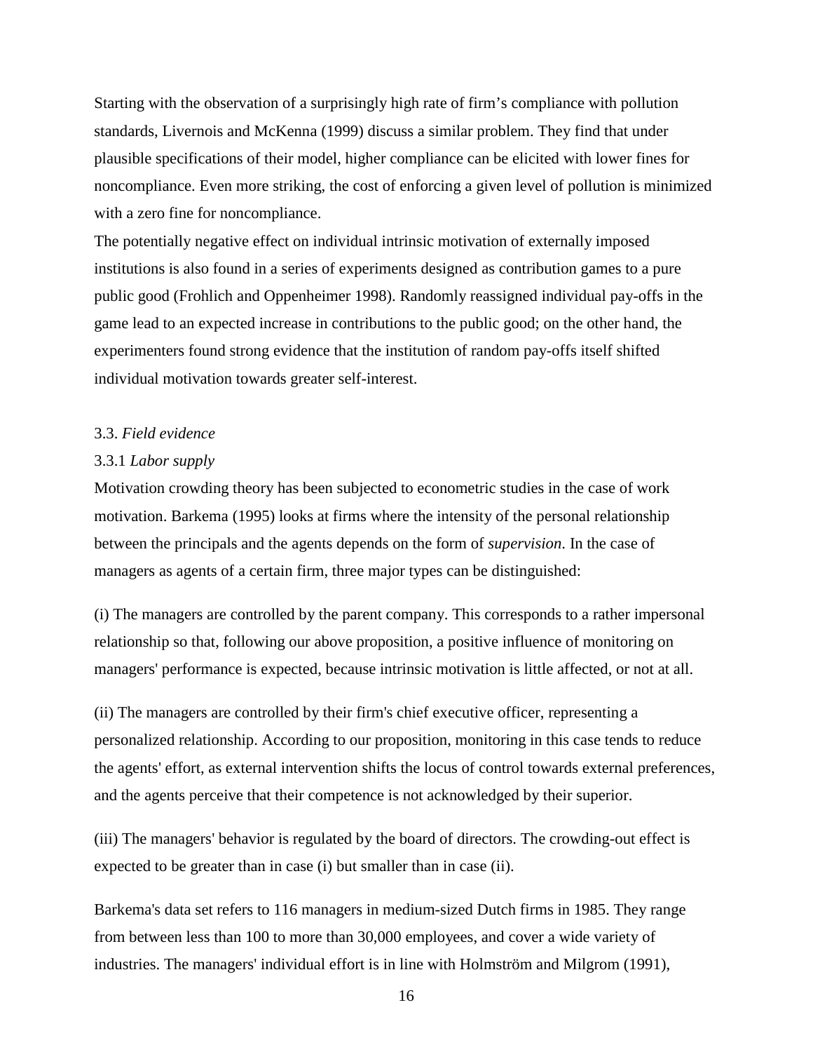Starting with the observation of a surprisingly high rate of firm's compliance with pollution standards, Livernois and McKenna (1999) discuss a similar problem. They find that under plausible specifications of their model, higher compliance can be elicited with lower fines for noncompliance. Even more striking, the cost of enforcing a given level of pollution is minimized with a zero fine for noncompliance.

The potentially negative effect on individual intrinsic motivation of externally imposed institutions is also found in a series of experiments designed as contribution games to a pure public good (Frohlich and Oppenheimer 1998). Randomly reassigned individual pay-offs in the game lead to an expected increase in contributions to the public good; on the other hand, the experimenters found strong evidence that the institution of random pay-offs itself shifted individual motivation towards greater self-interest.

## 3.3. *Field evidence*

## 3.3.1 *Labor supply*

Motivation crowding theory has been subjected to econometric studies in the case of work motivation. Barkema (1995) looks at firms where the intensity of the personal relationship between the principals and the agents depends on the form of *supervision*. In the case of managers as agents of a certain firm, three major types can be distinguished:

(i) The managers are controlled by the parent company. This corresponds to a rather impersonal relationship so that, following our above proposition, a positive influence of monitoring on managers' performance is expected, because intrinsic motivation is little affected, or not at all.

(ii) The managers are controlled by their firm's chief executive officer, representing a personalized relationship. According to our proposition, monitoring in this case tends to reduce the agents' effort, as external intervention shifts the locus of control towards external preferences, and the agents perceive that their competence is not acknowledged by their superior.

(iii) The managers' behavior is regulated by the board of directors. The crowding-out effect is expected to be greater than in case (i) but smaller than in case (ii).

Barkema's data set refers to 116 managers in medium-sized Dutch firms in 1985. They range from between less than 100 to more than 30,000 employees, and cover a wide variety of industries. The managers' individual effort is in line with Holmström and Milgrom (1991),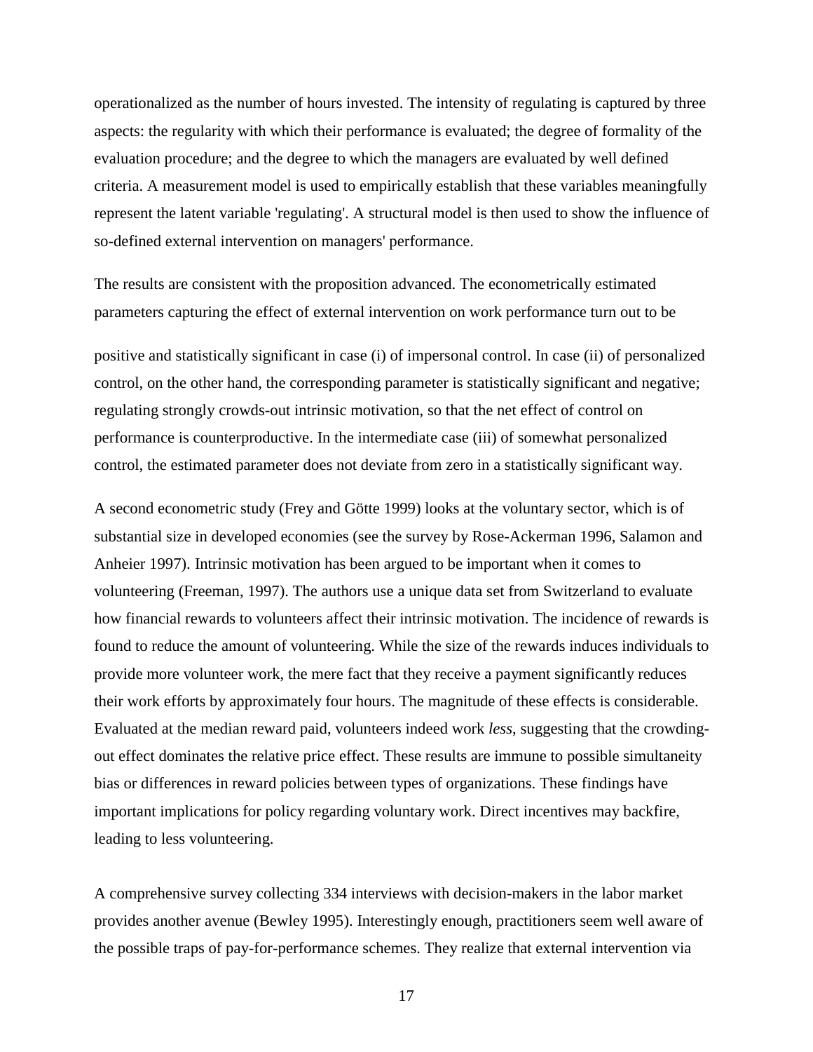operationalized as the number of hours invested. The intensity of regulating is captured by three aspects: the regularity with which their performance is evaluated; the degree of formality of the evaluation procedure; and the degree to which the managers are evaluated by well defined criteria. A measurement model is used to empirically establish that these variables meaningfully represent the latent variable 'regulating'. A structural model is then used to show the influence of so-defined external intervention on managers' performance.

The results are consistent with the proposition advanced. The econometrically estimated parameters capturing the effect of external intervention on work performance turn out to be

positive and statistically significant in case (i) of impersonal control. In case (ii) of personalized control, on the other hand, the corresponding parameter is statistically significant and negative; regulating strongly crowds-out intrinsic motivation, so that the net effect of control on performance is counterproductive. In the intermediate case (iii) of somewhat personalized control, the estimated parameter does not deviate from zero in a statistically significant way.

A second econometric study (Frey and Götte 1999) looks at the voluntary sector, which is of substantial size in developed economies (see the survey by Rose-Ackerman 1996, Salamon and Anheier 1997). Intrinsic motivation has been argued to be important when it comes to volunteering (Freeman, 1997). The authors use a unique data set from Switzerland to evaluate how financial rewards to volunteers affect their intrinsic motivation. The incidence of rewards is found to reduce the amount of volunteering. While the size of the rewards induces individuals to provide more volunteer work, the mere fact that they receive a payment significantly reduces their work efforts by approximately four hours. The magnitude of these effects is considerable. Evaluated at the median reward paid, volunteers indeed work *less*, suggesting that the crowdingout effect dominates the relative price effect. These results are immune to possible simultaneity bias or differences in reward policies between types of organizations. These findings have important implications for policy regarding voluntary work. Direct incentives may backfire, leading to less volunteering.

A comprehensive survey collecting 334 interviews with decision-makers in the labor market provides another avenue (Bewley 1995). Interestingly enough, practitioners seem well aware of the possible traps of pay-for-performance schemes. They realize that external intervention via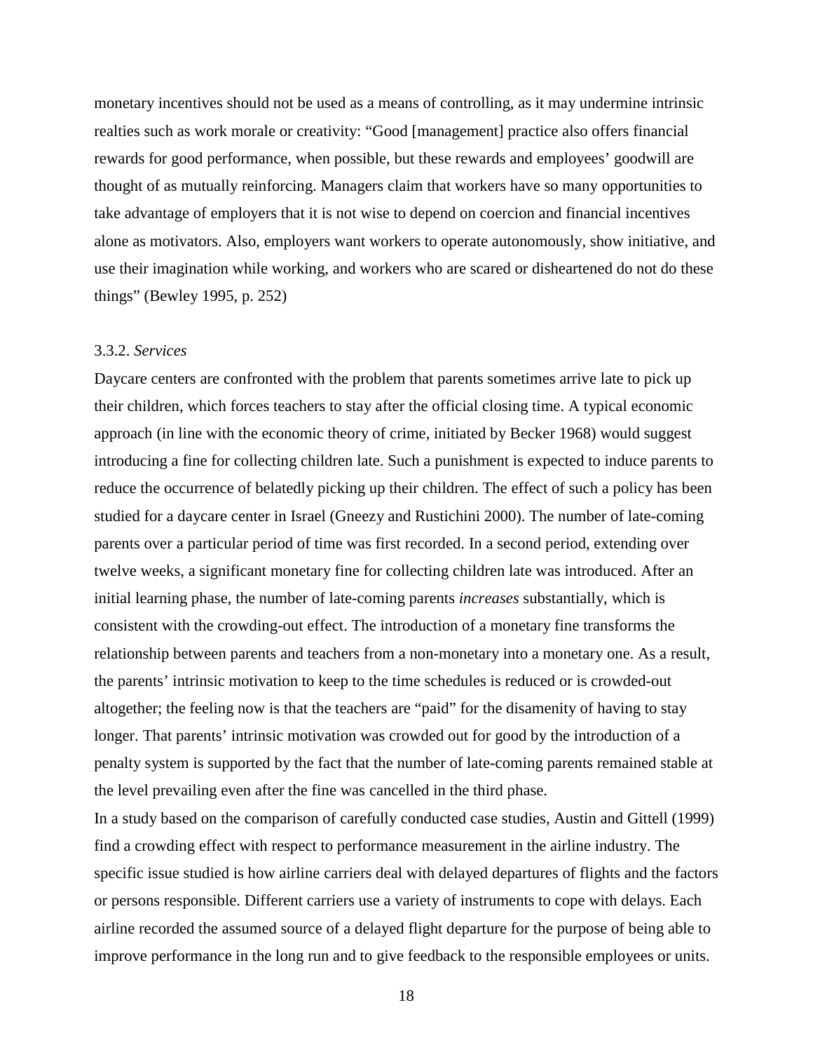monetary incentives should not be used as a means of controlling, as it may undermine intrinsic realties such as work morale or creativity: "Good [management] practice also offers financial rewards for good performance, when possible, but these rewards and employees' goodwill are thought of as mutually reinforcing. Managers claim that workers have so many opportunities to take advantage of employers that it is not wise to depend on coercion and financial incentives alone as motivators. Also, employers want workers to operate autonomously, show initiative, and use their imagination while working, and workers who are scared or disheartened do not do these things" (Bewley 1995, p. 252)

## 3.3.2. *Services*

Daycare centers are confronted with the problem that parents sometimes arrive late to pick up their children, which forces teachers to stay after the official closing time. A typical economic approach (in line with the economic theory of crime, initiated by Becker 1968) would suggest introducing a fine for collecting children late. Such a punishment is expected to induce parents to reduce the occurrence of belatedly picking up their children. The effect of such a policy has been studied for a daycare center in Israel (Gneezy and Rustichini 2000). The number of late-coming parents over a particular period of time was first recorded. In a second period, extending over twelve weeks, a significant monetary fine for collecting children late was introduced. After an initial learning phase, the number of late-coming parents *increases* substantially, which is consistent with the crowding-out effect. The introduction of a monetary fine transforms the relationship between parents and teachers from a non-monetary into a monetary one. As a result, the parents' intrinsic motivation to keep to the time schedules is reduced or is crowded-out altogether; the feeling now is that the teachers are "paid" for the disamenity of having to stay longer. That parents' intrinsic motivation was crowded out for good by the introduction of a penalty system is supported by the fact that the number of late-coming parents remained stable at the level prevailing even after the fine was cancelled in the third phase.

In a study based on the comparison of carefully conducted case studies, Austin and Gittell (1999) find a crowding effect with respect to performance measurement in the airline industry. The specific issue studied is how airline carriers deal with delayed departures of flights and the factors or persons responsible. Different carriers use a variety of instruments to cope with delays. Each airline recorded the assumed source of a delayed flight departure for the purpose of being able to improve performance in the long run and to give feedback to the responsible employees or units.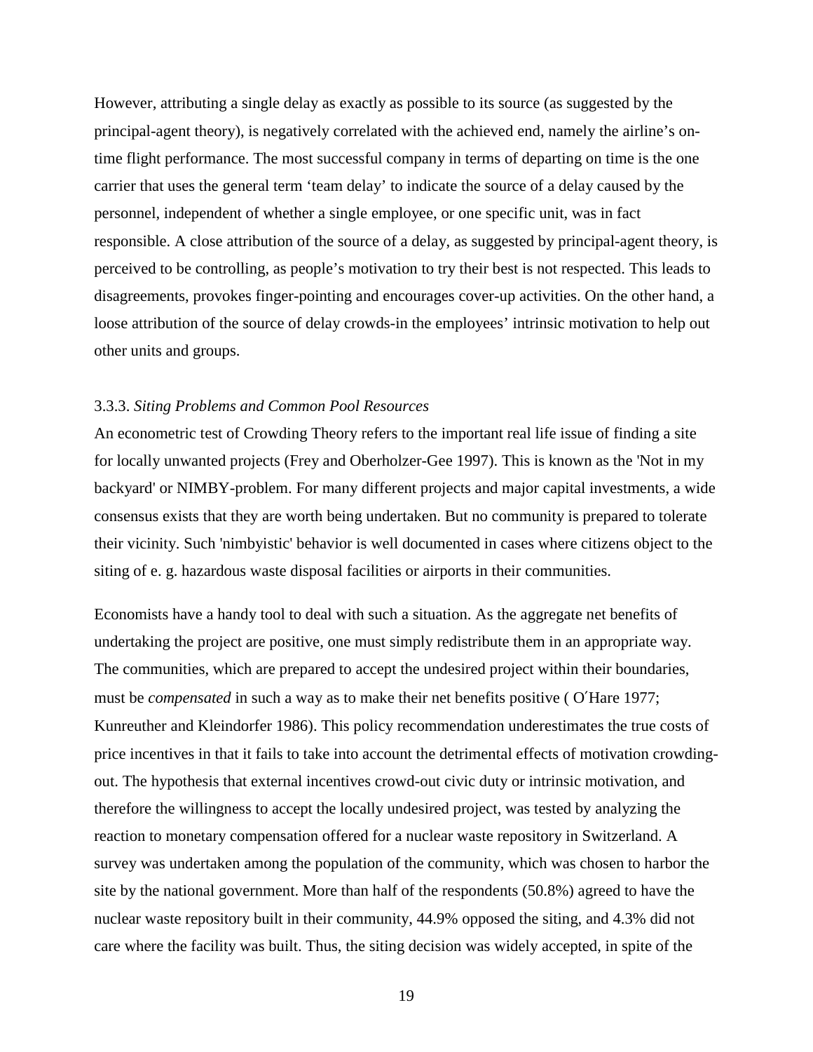However, attributing a single delay as exactly as possible to its source (as suggested by the principal-agent theory), is negatively correlated with the achieved end, namely the airline's ontime flight performance. The most successful company in terms of departing on time is the one carrier that uses the general term 'team delay' to indicate the source of a delay caused by the personnel, independent of whether a single employee, or one specific unit, was in fact responsible. A close attribution of the source of a delay, as suggested by principal-agent theory, is perceived to be controlling, as people's motivation to try their best is not respected. This leads to disagreements, provokes finger-pointing and encourages cover-up activities. On the other hand, a loose attribution of the source of delay crowds-in the employees' intrinsic motivation to help out other units and groups.

## 3.3.3. *Siting Problems and Common Pool Resources*

An econometric test of Crowding Theory refers to the important real life issue of finding a site for locally unwanted projects (Frey and Oberholzer-Gee 1997). This is known as the 'Not in my backyard' or NIMBY-problem. For many different projects and major capital investments, a wide consensus exists that they are worth being undertaken. But no community is prepared to tolerate their vicinity. Such 'nimbyistic' behavior is well documented in cases where citizens object to the siting of e. g. hazardous waste disposal facilities or airports in their communities.

Economists have a handy tool to deal with such a situation. As the aggregate net benefits of undertaking the project are positive, one must simply redistribute them in an appropriate way. The communities, which are prepared to accept the undesired project within their boundaries, must be *compensated* in such a way as to make their net benefits positive ( O′Hare 1977; Kunreuther and Kleindorfer 1986). This policy recommendation underestimates the true costs of price incentives in that it fails to take into account the detrimental effects of motivation crowdingout. The hypothesis that external incentives crowd-out civic duty or intrinsic motivation, and therefore the willingness to accept the locally undesired project, was tested by analyzing the reaction to monetary compensation offered for a nuclear waste repository in Switzerland. A survey was undertaken among the population of the community, which was chosen to harbor the site by the national government. More than half of the respondents (50.8%) agreed to have the nuclear waste repository built in their community, 44.9% opposed the siting, and 4.3% did not care where the facility was built. Thus, the siting decision was widely accepted, in spite of the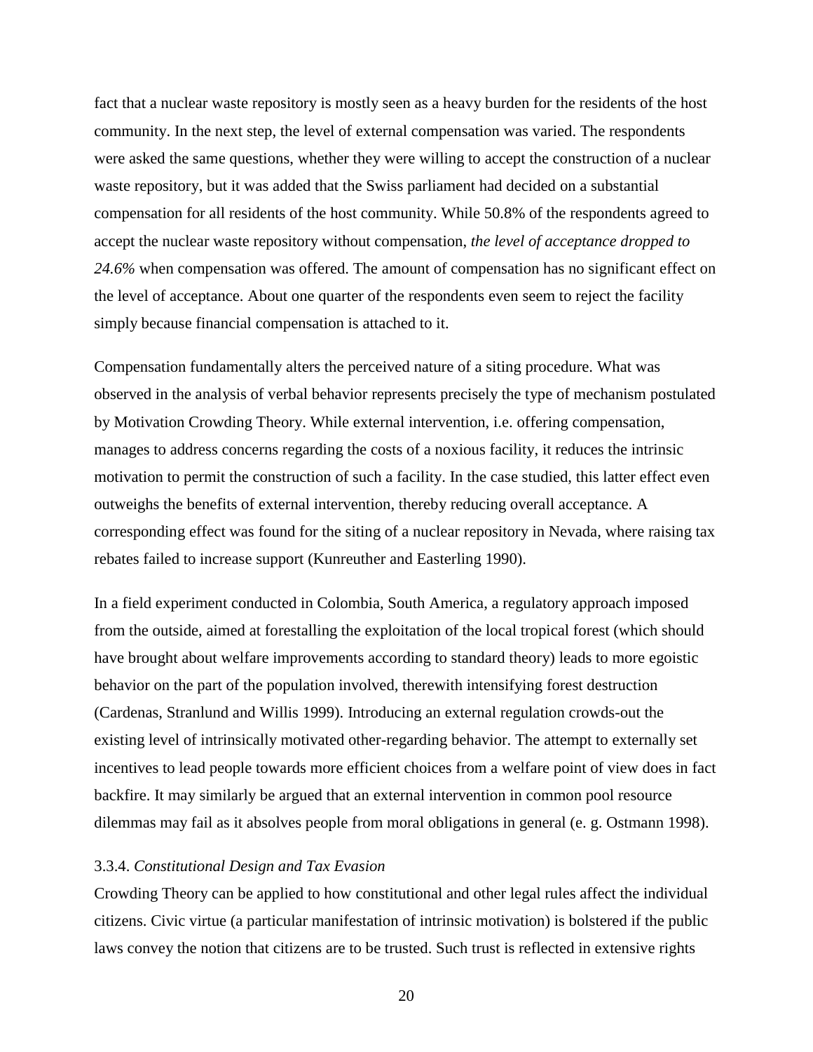fact that a nuclear waste repository is mostly seen as a heavy burden for the residents of the host community. In the next step, the level of external compensation was varied. The respondents were asked the same questions, whether they were willing to accept the construction of a nuclear waste repository, but it was added that the Swiss parliament had decided on a substantial compensation for all residents of the host community. While 50.8% of the respondents agreed to accept the nuclear waste repository without compensation, *the level of acceptance dropped to 24.6%* when compensation was offered. The amount of compensation has no significant effect on the level of acceptance. About one quarter of the respondents even seem to reject the facility simply because financial compensation is attached to it.

Compensation fundamentally alters the perceived nature of a siting procedure. What was observed in the analysis of verbal behavior represents precisely the type of mechanism postulated by Motivation Crowding Theory. While external intervention, i.e. offering compensation, manages to address concerns regarding the costs of a noxious facility, it reduces the intrinsic motivation to permit the construction of such a facility. In the case studied, this latter effect even outweighs the benefits of external intervention, thereby reducing overall acceptance. A corresponding effect was found for the siting of a nuclear repository in Nevada, where raising tax rebates failed to increase support (Kunreuther and Easterling 1990).

In a field experiment conducted in Colombia, South America, a regulatory approach imposed from the outside, aimed at forestalling the exploitation of the local tropical forest (which should have brought about welfare improvements according to standard theory) leads to more egoistic behavior on the part of the population involved, therewith intensifying forest destruction (Cardenas, Stranlund and Willis 1999). Introducing an external regulation crowds-out the existing level of intrinsically motivated other-regarding behavior. The attempt to externally set incentives to lead people towards more efficient choices from a welfare point of view does in fact backfire. It may similarly be argued that an external intervention in common pool resource dilemmas may fail as it absolves people from moral obligations in general (e. g. Ostmann 1998).

#### 3.3.4. *Constitutional Design and Tax Evasion*

Crowding Theory can be applied to how constitutional and other legal rules affect the individual citizens. Civic virtue (a particular manifestation of intrinsic motivation) is bolstered if the public laws convey the notion that citizens are to be trusted. Such trust is reflected in extensive rights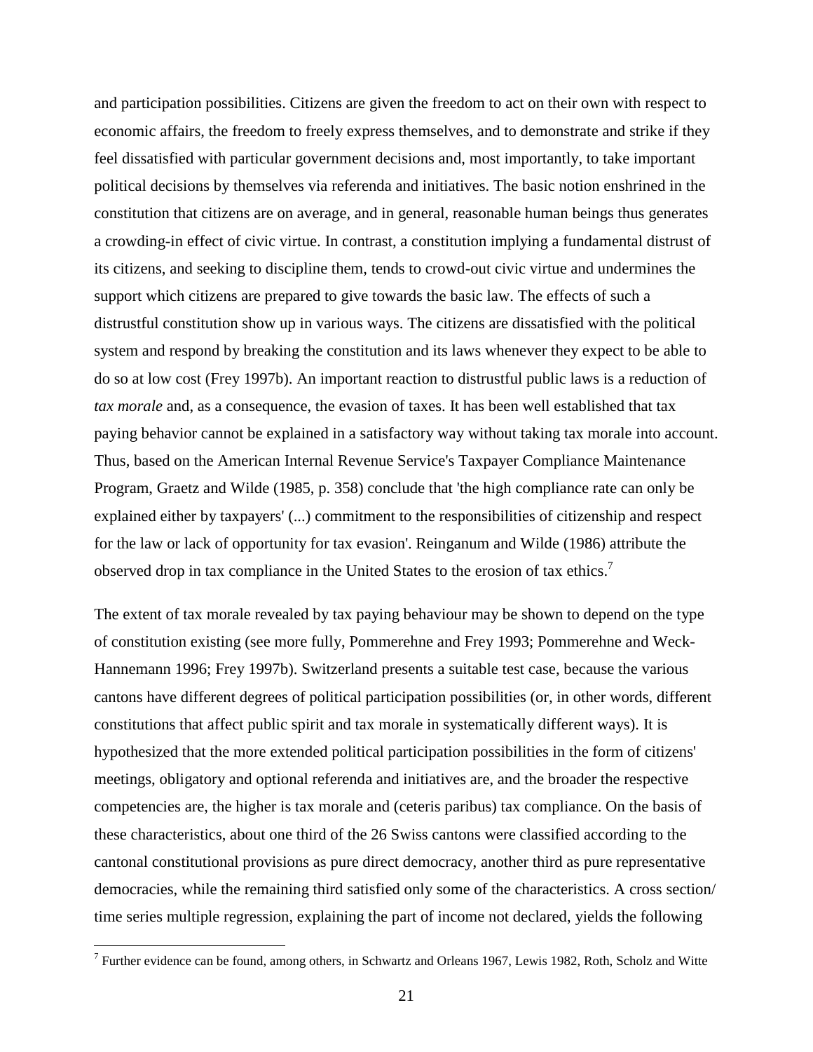and participation possibilities. Citizens are given the freedom to act on their own with respect to economic affairs, the freedom to freely express themselves, and to demonstrate and strike if they feel dissatisfied with particular government decisions and, most importantly, to take important political decisions by themselves via referenda and initiatives. The basic notion enshrined in the constitution that citizens are on average, and in general, reasonable human beings thus generates a crowding-in effect of civic virtue. In contrast, a constitution implying a fundamental distrust of its citizens, and seeking to discipline them, tends to crowd-out civic virtue and undermines the support which citizens are prepared to give towards the basic law. The effects of such a distrustful constitution show up in various ways. The citizens are dissatisfied with the political system and respond by breaking the constitution and its laws whenever they expect to be able to do so at low cost (Frey 1997b). An important reaction to distrustful public laws is a reduction of *tax morale* and, as a consequence, the evasion of taxes. It has been well established that tax paying behavior cannot be explained in a satisfactory way without taking tax morale into account. Thus, based on the American Internal Revenue Service's Taxpayer Compliance Maintenance Program, Graetz and Wilde (1985, p. 358) conclude that 'the high compliance rate can only be explained either by taxpayers' (...) commitment to the responsibilities of citizenship and respect for the law or lack of opportunity for tax evasion'. Reinganum and Wilde (1986) attribute the observed drop in tax compliance in the United States to the erosion of tax ethics.<sup>7</sup>

The extent of tax morale revealed by tax paying behaviour may be shown to depend on the type of constitution existing (see more fully, Pommerehne and Frey 1993; Pommerehne and Weck-Hannemann 1996; Frey 1997b). Switzerland presents a suitable test case, because the various cantons have different degrees of political participation possibilities (or, in other words, different constitutions that affect public spirit and tax morale in systematically different ways). It is hypothesized that the more extended political participation possibilities in the form of citizens' meetings, obligatory and optional referenda and initiatives are, and the broader the respective competencies are, the higher is tax morale and (ceteris paribus) tax compliance. On the basis of these characteristics, about one third of the 26 Swiss cantons were classified according to the cantonal constitutional provisions as pure direct democracy, another third as pure representative democracies, while the remaining third satisfied only some of the characteristics. A cross section/ time series multiple regression, explaining the part of income not declared, yields the following

<sup>&</sup>lt;sup>7</sup> Further evidence can be found, among others, in Schwartz and Orleans 1967, Lewis 1982, Roth, Scholz and Witte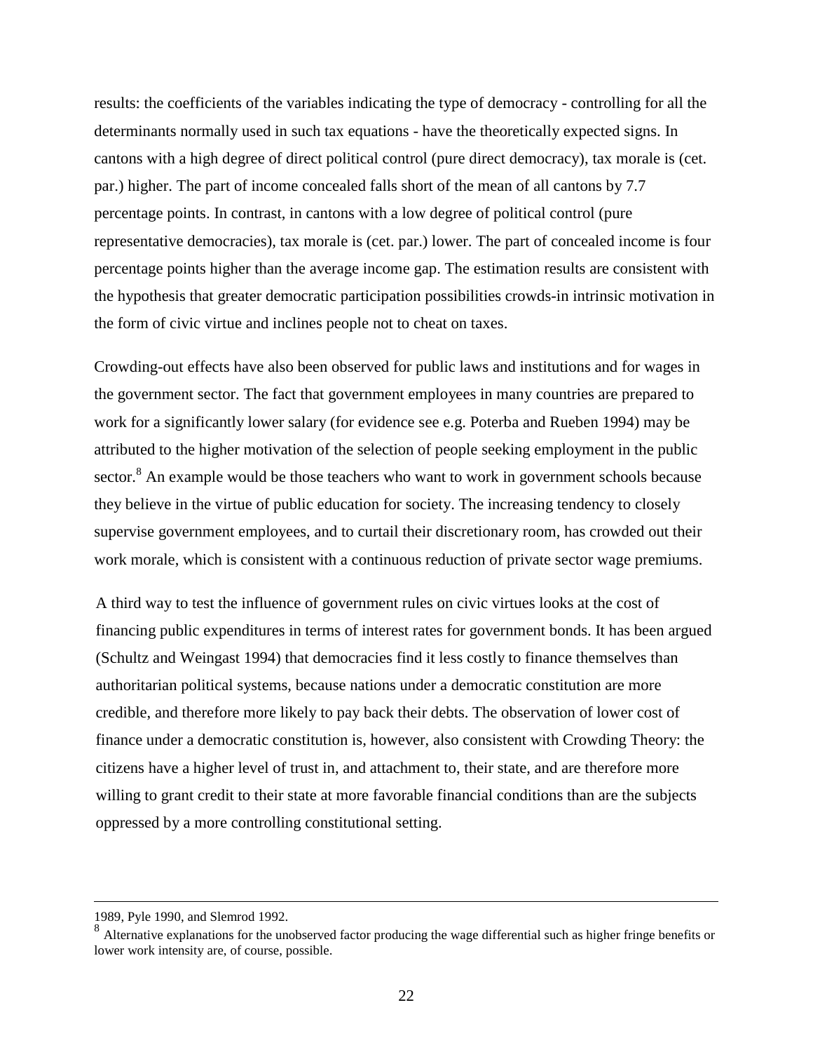results: the coefficients of the variables indicating the type of democracy - controlling for all the determinants normally used in such tax equations - have the theoretically expected signs. In cantons with a high degree of direct political control (pure direct democracy), tax morale is (cet. par.) higher. The part of income concealed falls short of the mean of all cantons by 7.7 percentage points. In contrast, in cantons with a low degree of political control (pure representative democracies), tax morale is (cet. par.) lower. The part of concealed income is four percentage points higher than the average income gap. The estimation results are consistent with the hypothesis that greater democratic participation possibilities crowds-in intrinsic motivation in the form of civic virtue and inclines people not to cheat on taxes.

Crowding-out effects have also been observed for public laws and institutions and for wages in the government sector. The fact that government employees in many countries are prepared to work for a significantly lower salary (for evidence see e.g. Poterba and Rueben 1994) may be attributed to the higher motivation of the selection of people seeking employment in the public sector.<sup>8</sup> An example would be those teachers who want to work in government schools because they believe in the virtue of public education for society. The increasing tendency to closely supervise government employees, and to curtail their discretionary room, has crowded out their work morale, which is consistent with a continuous reduction of private sector wage premiums.

A third way to test the influence of government rules on civic virtues looks at the cost of financing public expenditures in terms of interest rates for government bonds. It has been argued (Schultz and Weingast 1994) that democracies find it less costly to finance themselves than authoritarian political systems, because nations under a democratic constitution are more credible, and therefore more likely to pay back their debts. The observation of lower cost of finance under a democratic constitution is, however, also consistent with Crowding Theory: the citizens have a higher level of trust in, and attachment to, their state, and are therefore more willing to grant credit to their state at more favorable financial conditions than are the subjects oppressed by a more controlling constitutional setting.

 <sup>1989,</sup> Pyle 1990, and Slemrod 1992.

<sup>8</sup> Alternative explanations for the unobserved factor producing the wage differential such as higher fringe benefits or lower work intensity are, of course, possible.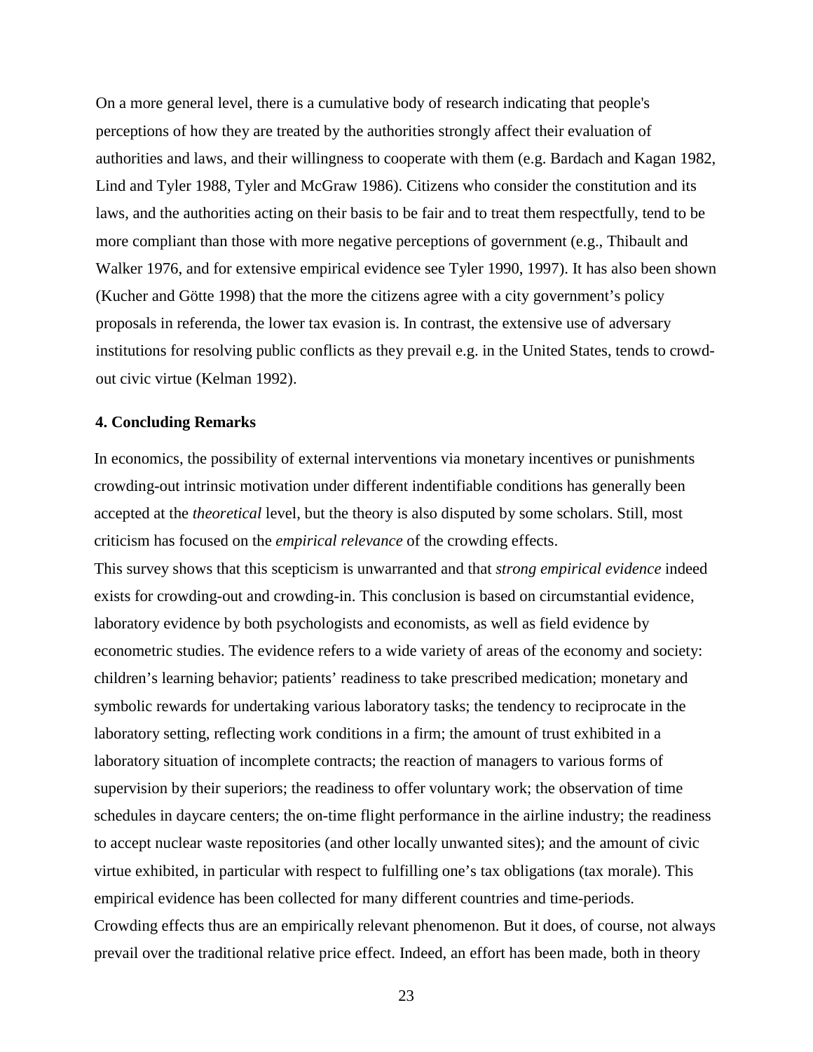On a more general level, there is a cumulative body of research indicating that people's perceptions of how they are treated by the authorities strongly affect their evaluation of authorities and laws, and their willingness to cooperate with them (e.g. Bardach and Kagan 1982, Lind and Tyler 1988, Tyler and McGraw 1986). Citizens who consider the constitution and its laws, and the authorities acting on their basis to be fair and to treat them respectfully, tend to be more compliant than those with more negative perceptions of government (e.g., Thibault and Walker 1976, and for extensive empirical evidence see Tyler 1990, 1997). It has also been shown (Kucher and Götte 1998) that the more the citizens agree with a city government's policy proposals in referenda, the lower tax evasion is. In contrast, the extensive use of adversary institutions for resolving public conflicts as they prevail e.g. in the United States, tends to crowdout civic virtue (Kelman 1992).

## **4. Concluding Remarks**

In economics, the possibility of external interventions via monetary incentives or punishments crowding-out intrinsic motivation under different indentifiable conditions has generally been accepted at the *theoretical* level, but the theory is also disputed by some scholars. Still, most criticism has focused on the *empirical relevance* of the crowding effects.

This survey shows that this scepticism is unwarranted and that *strong empirical evidence* indeed exists for crowding-out and crowding-in. This conclusion is based on circumstantial evidence, laboratory evidence by both psychologists and economists, as well as field evidence by econometric studies. The evidence refers to a wide variety of areas of the economy and society: children's learning behavior; patients' readiness to take prescribed medication; monetary and symbolic rewards for undertaking various laboratory tasks; the tendency to reciprocate in the laboratory setting, reflecting work conditions in a firm; the amount of trust exhibited in a laboratory situation of incomplete contracts; the reaction of managers to various forms of supervision by their superiors; the readiness to offer voluntary work; the observation of time schedules in daycare centers; the on-time flight performance in the airline industry; the readiness to accept nuclear waste repositories (and other locally unwanted sites); and the amount of civic virtue exhibited, in particular with respect to fulfilling one's tax obligations (tax morale). This empirical evidence has been collected for many different countries and time-periods. Crowding effects thus are an empirically relevant phenomenon. But it does, of course, not always prevail over the traditional relative price effect. Indeed, an effort has been made, both in theory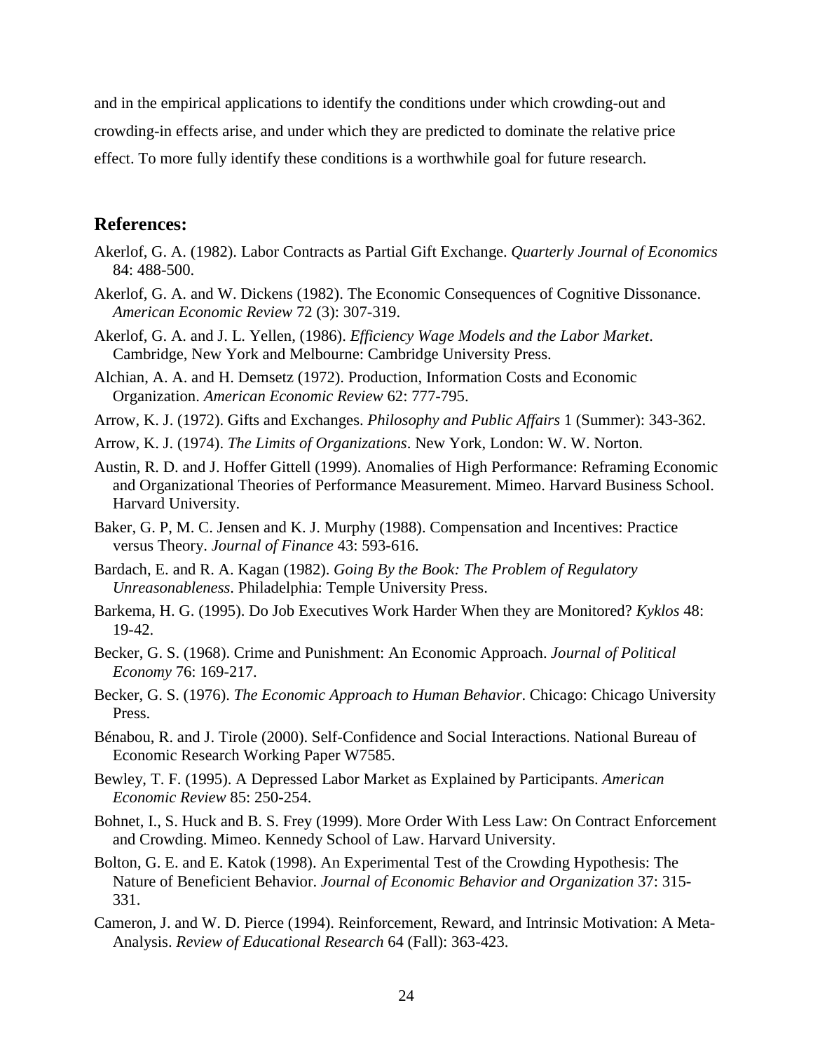and in the empirical applications to identify the conditions under which crowding-out and crowding-in effects arise, and under which they are predicted to dominate the relative price effect. To more fully identify these conditions is a worthwhile goal for future research.

## **References:**

- Akerlof, G. A. (1982). Labor Contracts as Partial Gift Exchange. *Quarterly Journal of Economics* 84: 488-500.
- Akerlof, G. A. and W. Dickens (1982). The Economic Consequences of Cognitive Dissonance. *American Economic Review* 72 (3): 307-319.
- Akerlof, G. A. and J. L. Yellen, (1986). *Efficiency Wage Models and the Labor Market*. Cambridge, New York and Melbourne: Cambridge University Press.

Alchian, A. A. and H. Demsetz (1972). Production, Information Costs and Economic Organization. *American Economic Review* 62: 777-795.

- Arrow, K. J. (1972). Gifts and Exchanges. *Philosophy and Public Affairs* 1 (Summer): 343-362.
- Arrow, K. J. (1974). *The Limits of Organizations*. New York, London: W. W. Norton.
- Austin, R. D. and J. Hoffer Gittell (1999). Anomalies of High Performance: Reframing Economic and Organizational Theories of Performance Measurement. Mimeo. Harvard Business School. Harvard University.
- Baker, G. P, M. C. Jensen and K. J. Murphy (1988). Compensation and Incentives: Practice versus Theory. *Journal of Finance* 43: 593-616.
- Bardach, E. and R. A. Kagan (1982). *Going By the Book: The Problem of Regulatory Unreasonableness*. Philadelphia: Temple University Press.
- Barkema, H. G. (1995). Do Job Executives Work Harder When they are Monitored? *Kyklos* 48: 19-42.
- Becker, G. S. (1968). Crime and Punishment: An Economic Approach. *Journal of Political Economy* 76: 169-217.
- Becker, G. S. (1976). *The Economic Approach to Human Behavior*. Chicago: Chicago University Press.
- Bénabou, R. and J. Tirole (2000). Self-Confidence and Social Interactions. National Bureau of Economic Research Working Paper W7585.
- Bewley, T. F. (1995). A Depressed Labor Market as Explained by Participants. *American Economic Review* 85: 250-254.
- Bohnet, I., S. Huck and B. S. Frey (1999). More Order With Less Law: On Contract Enforcement and Crowding. Mimeo. Kennedy School of Law. Harvard University.
- Bolton, G. E. and E. Katok (1998). An Experimental Test of the Crowding Hypothesis: The Nature of Beneficient Behavior. *Journal of Economic Behavior and Organization* 37: 315- 331.
- Cameron, J. and W. D. Pierce (1994). Reinforcement, Reward, and Intrinsic Motivation: A Meta-Analysis. *Review of Educational Research* 64 (Fall): 363-423.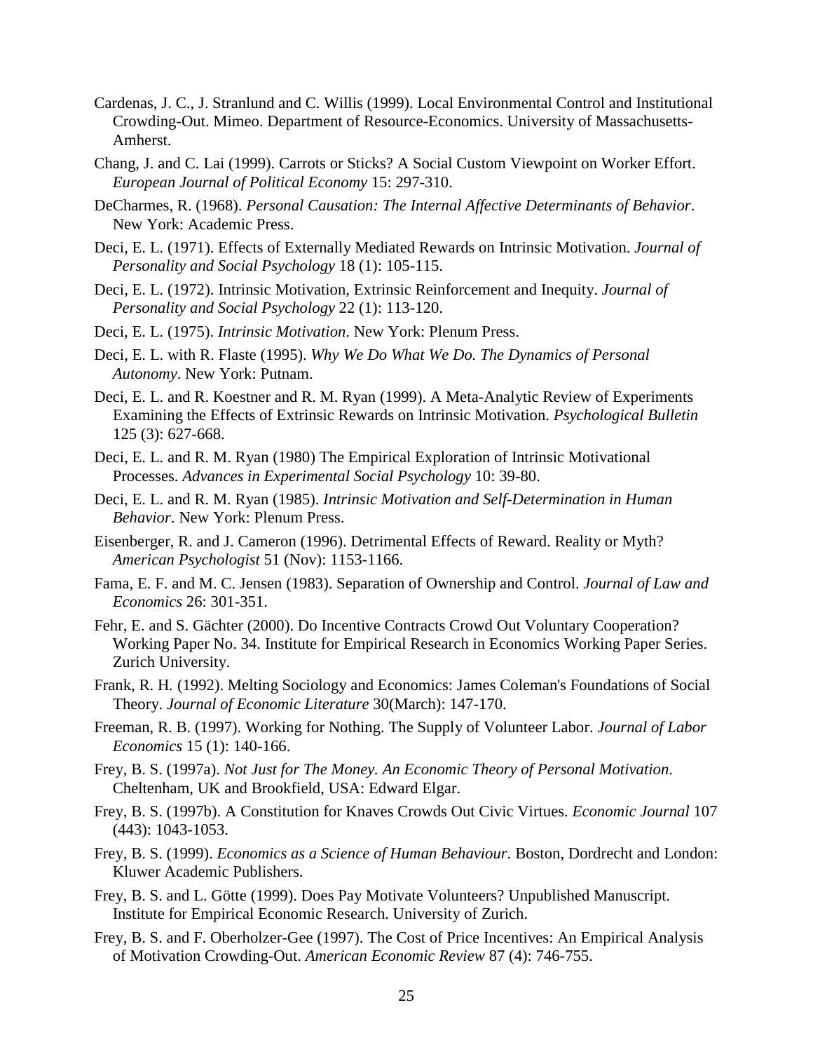- Cardenas, J. C., J. Stranlund and C. Willis (1999). Local Environmental Control and Institutional Crowding-Out. Mimeo. Department of Resource-Economics. University of Massachusetts-Amherst.
- Chang, J. and C. Lai (1999). Carrots or Sticks? A Social Custom Viewpoint on Worker Effort. *European Journal of Political Economy* 15: 297-310.
- DeCharmes, R. (1968). *Personal Causation: The Internal Affective Determinants of Behavior*. New York: Academic Press.
- Deci, E. L. (1971). Effects of Externally Mediated Rewards on Intrinsic Motivation. *Journal of Personality and Social Psychology* 18 (1): 105-115.
- Deci, E. L. (1972). Intrinsic Motivation, Extrinsic Reinforcement and Inequity. *Journal of Personality and Social Psychology* 22 (1): 113-120.
- Deci, E. L. (1975). *Intrinsic Motivation*. New York: Plenum Press.
- Deci, E. L. with R. Flaste (1995). *Why We Do What We Do. The Dynamics of Personal Autonomy*. New York: Putnam.
- Deci, E. L. and R. Koestner and R. M. Ryan (1999). A Meta-Analytic Review of Experiments Examining the Effects of Extrinsic Rewards on Intrinsic Motivation. *Psychological Bulletin* 125 (3): 627-668.
- Deci, E. L. and R. M. Ryan (1980) The Empirical Exploration of Intrinsic Motivational Processes. *Advances in Experimental Social Psychology* 10: 39-80.
- Deci, E. L. and R. M. Ryan (1985). *Intrinsic Motivation and Self-Determination in Human Behavior*. New York: Plenum Press.
- Eisenberger, R. and J. Cameron (1996). Detrimental Effects of Reward. Reality or Myth? *American Psychologist* 51 (Nov): 1153-1166.
- Fama, E. F. and M. C. Jensen (1983). Separation of Ownership and Control. *Journal of Law and Economics* 26: 301-351.
- Fehr, E. and S. Gächter (2000). Do Incentive Contracts Crowd Out Voluntary Cooperation? Working Paper No. 34. Institute for Empirical Research in Economics Working Paper Series. Zurich University.
- Frank, R. H*.* (1992). Melting Sociology and Economics: James Coleman's Foundations of Social Theory. *Journal of Economic Literature* 30(March): 147-170.
- Freeman, R. B. (1997). Working for Nothing. The Supply of Volunteer Labor. *Journal of Labor Economics* 15 (1): 140-166.
- Frey, B. S. (1997a). *Not Just for The Money. An Economic Theory of Personal Motivation*. Cheltenham, UK and Brookfield, USA: Edward Elgar.
- Frey, B. S. (1997b). A Constitution for Knaves Crowds Out Civic Virtues. *Economic Journal* 107 (443): 1043-1053.
- Frey, B. S. (1999). *Economics as a Science of Human Behaviour*. Boston, Dordrecht and London: Kluwer Academic Publishers.
- Frey, B. S. and L. Götte (1999). Does Pay Motivate Volunteers? Unpublished Manuscript. Institute for Empirical Economic Research. University of Zurich.
- Frey, B. S. and F. Oberholzer-Gee (1997). The Cost of Price Incentives: An Empirical Analysis of Motivation Crowding-Out. *American Economic Review* 87 (4): 746-755.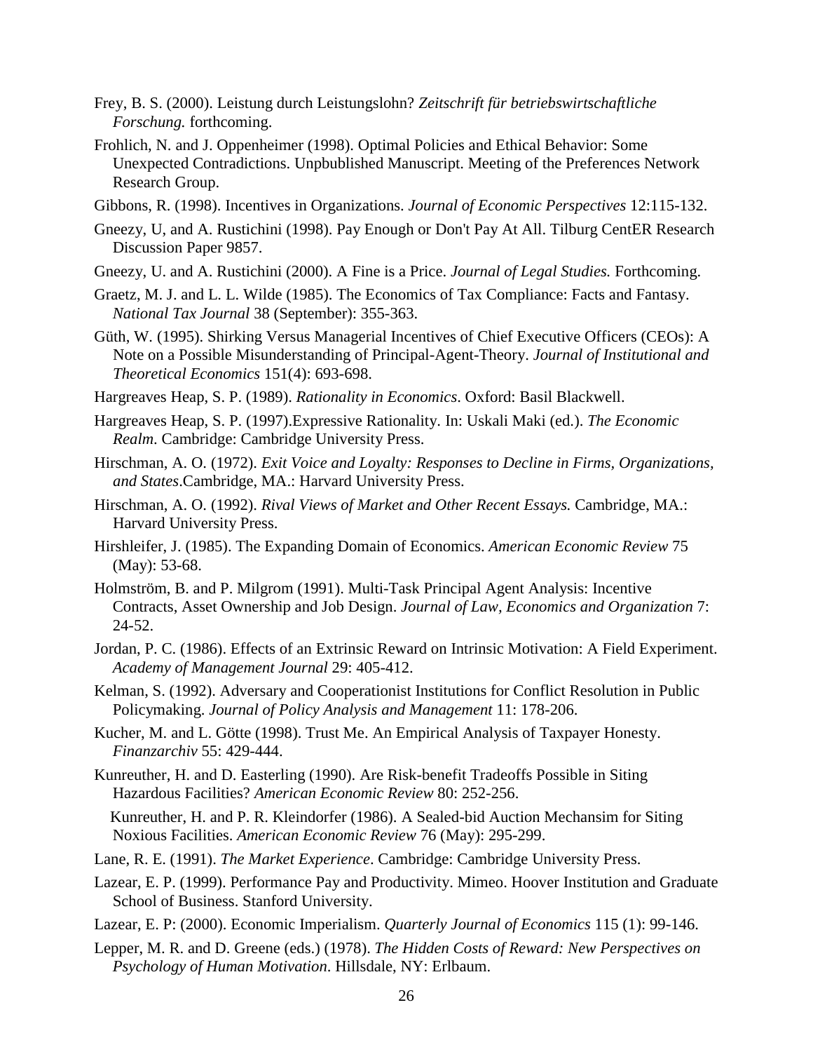- Frey, B. S. (2000). Leistung durch Leistungslohn? *Zeitschrift für betriebswirtschaftliche Forschung.* forthcoming.
- Frohlich, N. and J. Oppenheimer (1998). Optimal Policies and Ethical Behavior: Some Unexpected Contradictions. Unpbublished Manuscript. Meeting of the Preferences Network Research Group.
- Gibbons, R. (1998). Incentives in Organizations. *Journal of Economic Perspectives* 12:115-132.
- Gneezy, U, and A. Rustichini (1998). Pay Enough or Don't Pay At All. Tilburg CentER Research Discussion Paper 9857.
- Gneezy, U. and A. Rustichini (2000). A Fine is a Price. *Journal of Legal Studies.* Forthcoming.
- Graetz, M. J. and L. L. Wilde (1985). The Economics of Tax Compliance: Facts and Fantasy. *National Tax Journal* 38 (September): 355-363.
- Güth, W*.* (1995). Shirking Versus Managerial Incentives of Chief Executive Officers (CEOs): A Note on a Possible Misunderstanding of Principal-Agent-Theory. *Journal of Institutional and Theoretical Economics* 151(4): 693-698.
- Hargreaves Heap, S. P. (1989). *Rationality in Economics*. Oxford: Basil Blackwell.
- Hargreaves Heap, S. P. (1997).Expressive Rationality. In: Uskali Maki (ed.). *The Economic Realm*. Cambridge: Cambridge University Press.
- Hirschman, A. O. (1972). *Exit Voice and Loyalty: Responses to Decline in Firms, Organizations, and States*.Cambridge, MA.: Harvard University Press.
- Hirschman, A. O. (1992). *Rival Views of Market and Other Recent Essays.* Cambridge, MA.: Harvard University Press.
- Hirshleifer, J. (1985). The Expanding Domain of Economics. *American Economic Review* 75 (May): 53-68.
- Holmström, B. and P. Milgrom (1991). Multi-Task Principal Agent Analysis: Incentive Contracts, Asset Ownership and Job Design. *Journal of Law, Economics and Organization* 7: 24-52.
- Jordan, P. C. (1986). Effects of an Extrinsic Reward on Intrinsic Motivation: A Field Experiment. *Academy of Management Journal* 29: 405-412.
- Kelman, S. (1992). Adversary and Cooperationist Institutions for Conflict Resolution in Public Policymaking. *Journal of Policy Analysis and Management* 11: 178-206.
- Kucher, M. and L. Götte (1998). Trust Me. An Empirical Analysis of Taxpayer Honesty. *Finanzarchiv* 55: 429-444.
- Kunreuther, H. and D. Easterling (1990). Are Risk-benefit Tradeoffs Possible in Siting Hazardous Facilities? *American Economic Review* 80: 252-256.
	- Kunreuther, H. and P. R. Kleindorfer (1986). A Sealed-bid Auction Mechansim for Siting Noxious Facilities. *American Economic Review* 76 (May): 295-299.
- Lane, R. E. (1991). *The Market Experience*. Cambridge: Cambridge University Press.
- Lazear, E. P. (1999). Performance Pay and Productivity. Mimeo. Hoover Institution and Graduate School of Business. Stanford University.
- Lazear, E. P: (2000). Economic Imperialism. *Quarterly Journal of Economics* 115 (1): 99-146.
- Lepper, M. R. and D. Greene (eds.) (1978). *The Hidden Costs of Reward: New Perspectives on Psychology of Human Motivation*. Hillsdale, NY: Erlbaum.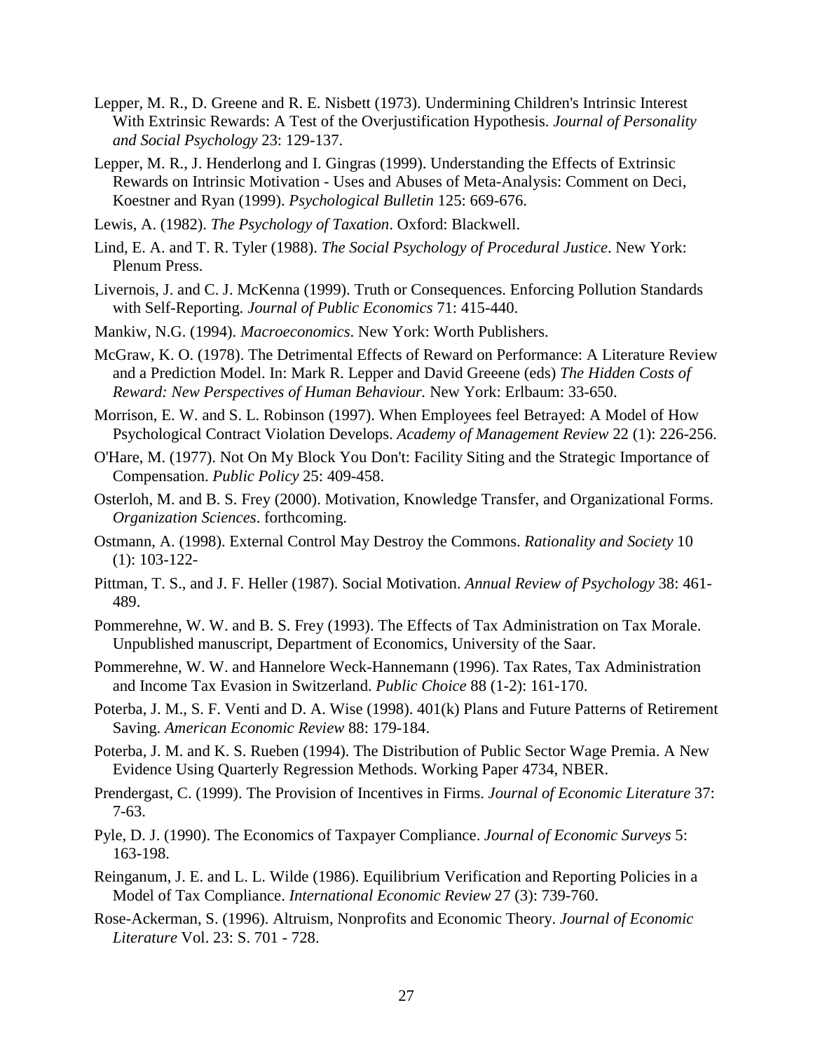- Lepper, M. R., D. Greene and R. E. Nisbett (1973). Undermining Children's Intrinsic Interest With Extrinsic Rewards: A Test of the Overjustification Hypothesis. *Journal of Personality and Social Psychology* 23: 129-137.
- Lepper, M. R., J. Henderlong and I. Gingras (1999). Understanding the Effects of Extrinsic Rewards on Intrinsic Motivation - Uses and Abuses of Meta-Analysis: Comment on Deci, Koestner and Ryan (1999). *Psychological Bulletin* 125: 669-676.
- Lewis, A. (1982). *The Psychology of Taxation*. Oxford: Blackwell.
- Lind, E. A. and T. R. Tyler (1988). *The Social Psychology of Procedural Justice*. New York: Plenum Press.
- Livernois, J. and C. J. McKenna (1999). Truth or Consequences. Enforcing Pollution Standards with Self-Reporting. *Journal of Public Economics* 71: 415-440.
- Mankiw, N.G. (1994). *Macroeconomics*. New York: Worth Publishers.
- McGraw, K. O. (1978). The Detrimental Effects of Reward on Performance: A Literature Review and a Prediction Model. In: Mark R. Lepper and David Greeene (eds) *The Hidden Costs of Reward: New Perspectives of Human Behaviour.* New York: Erlbaum: 33-650.
- Morrison, E. W. and S. L. Robinson (1997). When Employees feel Betrayed: A Model of How Psychological Contract Violation Develops. *Academy of Management Review* 22 (1): 226-256.
- O'Hare, M. (1977). Not On My Block You Don't: Facility Siting and the Strategic Importance of Compensation. *Public Policy* 25: 409-458.
- Osterloh, M. and B. S. Frey (2000). Motivation, Knowledge Transfer, and Organizational Forms. *Organization Sciences*. forthcoming.
- Ostmann, A. (1998). External Control May Destroy the Commons. *Rationality and Society* 10 (1): 103-122-
- Pittman, T. S., and J. F. Heller (1987). Social Motivation. *Annual Review of Psychology* 38: 461- 489.
- Pommerehne, W. W. and B. S. Frey (1993). The Effects of Tax Administration on Tax Morale. Unpublished manuscript, Department of Economics, University of the Saar.
- Pommerehne, W. W. and Hannelore Weck-Hannemann (1996). Tax Rates, Tax Administration and Income Tax Evasion in Switzerland. *Public Choice* 88 (1-2): 161-170.
- Poterba, J. M., S. F. Venti and D. A. Wise (1998). 401(k) Plans and Future Patterns of Retirement Saving. *American Economic Review* 88: 179-184.
- Poterba, J. M. and K. S. Rueben (1994). The Distribution of Public Sector Wage Premia. A New Evidence Using Quarterly Regression Methods. Working Paper 4734, NBER.
- Prendergast, C. (1999). The Provision of Incentives in Firms. *Journal of Economic Literature* 37: 7-63.
- Pyle, D. J. (1990). The Economics of Taxpayer Compliance. *Journal of Economic Surveys* 5: 163-198.
- Reinganum, J. E. and L. L. Wilde (1986). Equilibrium Verification and Reporting Policies in a Model of Tax Compliance. *International Economic Review* 27 (3): 739-760.
- Rose-Ackerman, S. (1996). Altruism, Nonprofits and Economic Theory. *Journal of Economic Literature* Vol. 23: S. 701 - 728.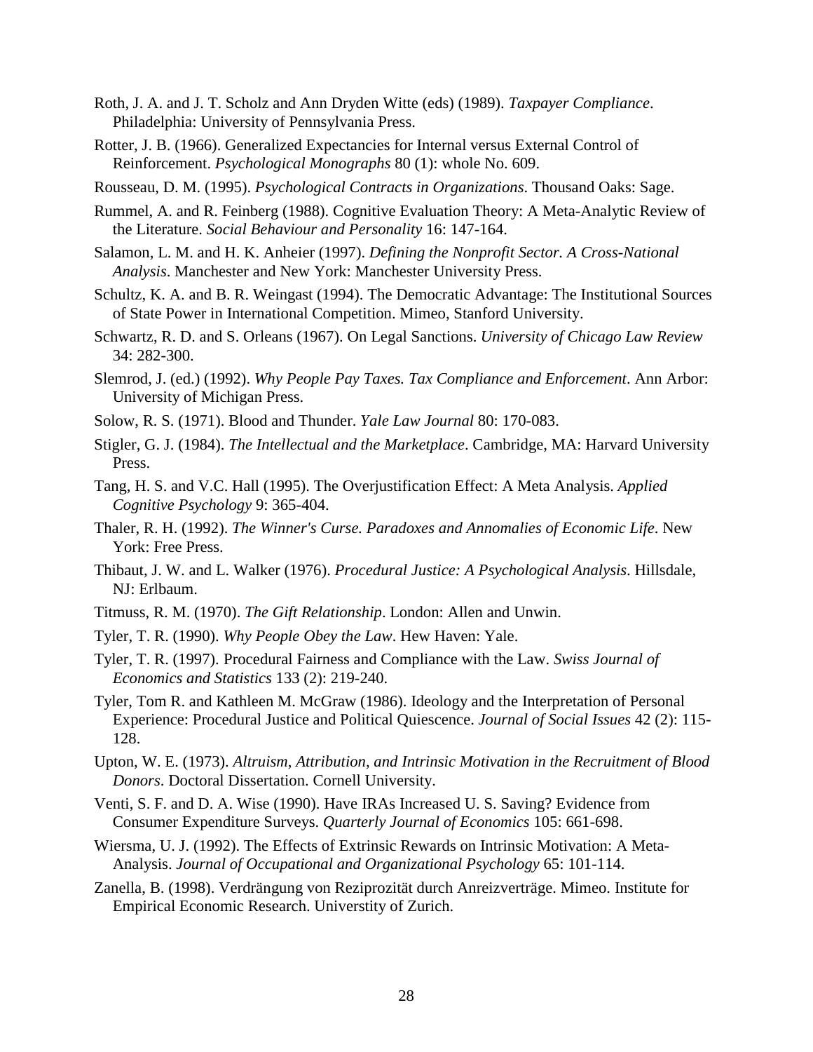- Roth, J. A. and J. T. Scholz and Ann Dryden Witte (eds) (1989). *Taxpayer Compliance*. Philadelphia: University of Pennsylvania Press.
- Rotter, J. B. (1966). Generalized Expectancies for Internal versus External Control of Reinforcement. *Psychological Monographs* 80 (1): whole No. 609.
- Rousseau, D. M. (1995). *Psychological Contracts in Organizations*. Thousand Oaks: Sage.
- Rummel, A. and R. Feinberg (1988). Cognitive Evaluation Theory: A Meta-Analytic Review of the Literature. *Social Behaviour and Personality* 16: 147-164.
- Salamon, L. M. and H. K. Anheier (1997). *Defining the Nonprofit Sector. A Cross-National Analysis*. Manchester and New York: Manchester University Press.
- Schultz, K. A. and B. R. Weingast (1994). The Democratic Advantage: The Institutional Sources of State Power in International Competition. Mimeo, Stanford University.
- Schwartz, R. D. and S. Orleans (1967). On Legal Sanctions. *University of Chicago Law Review* 34: 282-300.
- Slemrod, J. (ed.) (1992). *Why People Pay Taxes. Tax Compliance and Enforcement*. Ann Arbor: University of Michigan Press.
- Solow, R. S. (1971). Blood and Thunder. *Yale Law Journal* 80: 170-083.
- Stigler, G. J. (1984). *The Intellectual and the Marketplace*. Cambridge, MA: Harvard University Press.
- Tang, H. S. and V.C. Hall (1995). The Overjustification Effect: A Meta Analysis. *Applied Cognitive Psychology* 9: 365-404.
- Thaler, R. H. (1992). *The Winner's Curse. Paradoxes and Annomalies of Economic Life*. New York: Free Press.
- Thibaut, J. W. and L. Walker (1976). *Procedural Justice: A Psychological Analysis*. Hillsdale, NJ: Erlbaum.
- Titmuss, R. M. (1970). *The Gift Relationship*. London: Allen and Unwin.
- Tyler, T. R. (1990). *Why People Obey the Law*. Hew Haven: Yale.
- Tyler, T. R. (1997). Procedural Fairness and Compliance with the Law. *Swiss Journal of Economics and Statistics* 133 (2): 219-240.
- Tyler, Tom R. and Kathleen M. McGraw (1986). Ideology and the Interpretation of Personal Experience: Procedural Justice and Political Quiescence. *Journal of Social Issues* 42 (2): 115- 128.
- Upton, W. E. (1973). *Altruism, Attribution, and Intrinsic Motivation in the Recruitment of Blood Donors*. Doctoral Dissertation. Cornell University.
- Venti, S. F. and D. A. Wise (1990). Have IRAs Increased U. S. Saving? Evidence from Consumer Expenditure Surveys. *Quarterly Journal of Economics* 105: 661-698.
- Wiersma, U. J. (1992). The Effects of Extrinsic Rewards on Intrinsic Motivation: A Meta-Analysis. *Journal of Occupational and Organizational Psychology* 65: 101-114.
- Zanella, B. (1998). Verdrängung von Reziprozität durch Anreizverträge. Mimeo. Institute for Empirical Economic Research. Universtity of Zurich.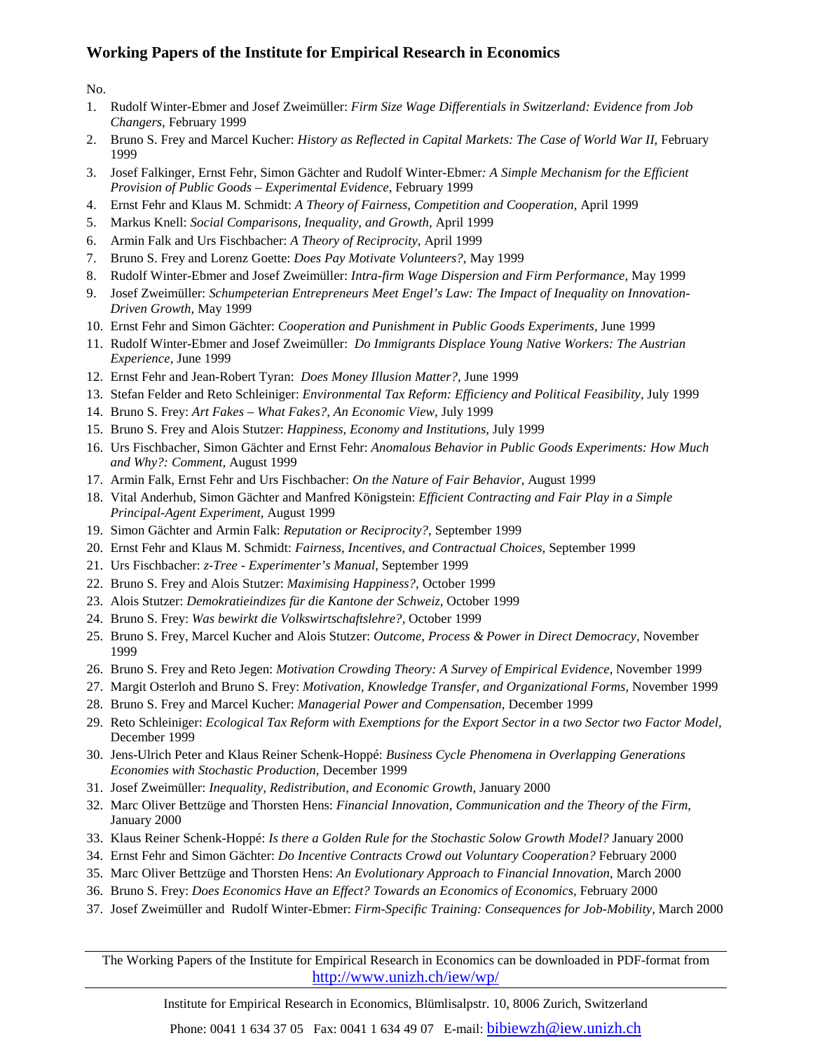## **Working Papers of the Institute for Empirical Research in Economics**

No.

- 1. Rudolf Winter-Ebmer and Josef Zweimüller: *Firm Size Wage Differentials in Switzerland: Evidence from Job Changers*, February 1999
- 2. Bruno S. Frey and Marcel Kucher: *History as Reflected in Capital Markets: The Case of World War II*, February 1999
- 3. Josef Falkinger, Ernst Fehr, Simon Gächter and Rudolf Winter-Ebmer*: A Simple Mechanism for the Efficient Provision of Public Goods – Experimental Evidence*, February 1999
- 4. Ernst Fehr and Klaus M. Schmidt: *A Theory of Fairness, Competition and Cooperation,* April 1999
- 5. Markus Knell: *Social Comparisons, Inequality, and Growth,* April 1999
- 6. Armin Falk and Urs Fischbacher: *A Theory of Reciprocity,* April 1999
- 7. Bruno S. Frey and Lorenz Goette: *Does Pay Motivate Volunteers?,* May 1999
- 8. Rudolf Winter-Ebmer and Josef Zweimüller: *Intra-firm Wage Dispersion and Firm Performance,* May 1999
- 9. Josef Zweimüller: *Schumpeterian Entrepreneurs Meet Engel's Law: The Impact of Inequality on Innovation-Driven Growth,* May 1999
- 10. Ernst Fehr and Simon Gächter: *Cooperation and Punishment in Public Goods Experiments,* June 1999
- 11. Rudolf Winter-Ebmer and Josef Zweimüller: *Do Immigrants Displace Young Native Workers: The Austrian Experience,* June 1999
- 12. Ernst Fehr and Jean-Robert Tyran: *Does Money Illusion Matter?,* June 1999
- 13. Stefan Felder and Reto Schleiniger: *Environmental Tax Reform: Efficiency and Political Feasibility,* July 1999
- 14. Bruno S. Frey: *Art Fakes What Fakes?, An Economic View,* July 1999
- 15. Bruno S. Frey and Alois Stutzer: *Happiness, Economy and Institutions,* July 1999
- 16. Urs Fischbacher, Simon Gächter and Ernst Fehr: *Anomalous Behavior in Public Goods Experiments: How Much and Why?: Comment,* August 1999
- 17. Armin Falk, Ernst Fehr and Urs Fischbacher: *On the Nature of Fair Behavior,* August 1999
- 18. Vital Anderhub, Simon Gächter and Manfred Königstein: *Efficient Contracting and Fair Play in a Simple Principal-Agent Experiment*, August 1999
- 19. Simon Gächter and Armin Falk: *Reputation or Reciprocity?*, September 1999
- 20. Ernst Fehr and Klaus M. Schmidt: *Fairness, Incentives, and Contractual Choices,* September 1999
- 21. Urs Fischbacher: *z-Tree Experimenter's Manual,* September 1999
- 22. Bruno S. Frey and Alois Stutzer: *Maximising Happiness?,* October 1999
- 23. Alois Stutzer: *Demokratieindizes für die Kantone der Schweiz,* October 1999
- 24. Bruno S. Frey: *Was bewirkt die Volkswirtschaftslehre?,* October 1999
- 25. Bruno S. Frey, Marcel Kucher and Alois Stutzer: *Outcome, Process & Power in Direct Democracy,* November 1999
- 26. Bruno S. Frey and Reto Jegen: *Motivation Crowding Theory: A Survey of Empirical Evidence,* November 1999
- 27. Margit Osterloh and Bruno S. Frey: *Motivation, Knowledge Transfer, and Organizational Forms,* November 1999
- 28. Bruno S. Frey and Marcel Kucher: *Managerial Power and Compensation,* December 1999
- 29. Reto Schleiniger: *Ecological Tax Reform with Exemptions for the Export Sector in a two Sector two Factor Model,* December 1999
- 30. Jens-Ulrich Peter and Klaus Reiner Schenk-Hoppé: *Business Cycle Phenomena in Overlapping Generations Economies with Stochastic Production,* December 1999
- 31. Josef Zweimüller: *Inequality, Redistribution, and Economic Growth,* January 2000
- 32. Marc Oliver Bettzüge and Thorsten Hens: *Financial Innovation, Communication and the Theory of the Firm,* January 2000
- 33. Klaus Reiner Schenk-Hoppé: *Is there a Golden Rule for the Stochastic Solow Growth Model?* January 2000
- 34. Ernst Fehr and Simon Gächter: *Do Incentive Contracts Crowd out Voluntary Cooperation?* February 2000
- 35. Marc Oliver Bettzüge and Thorsten Hens: *An Evolutionary Approach to Financial Innovation*, March 2000
- 36. Bruno S. Frey: *Does Economics Have an Effect? Towards an Economics of Economics,* February 2000
- 37. Josef Zweimüller and Rudolf Winter-Ebmer: *Firm-Specific Training: Consequences for Job-Mobility,* March 2000

The Working Papers of the Institute for Empirical Research in Economics can be downloaded in PDF-format from http://www.unizh.ch/iew/wp/

Institute for Empirical Research in Economics, Blümlisalpstr. 10, 8006 Zurich, Switzerland